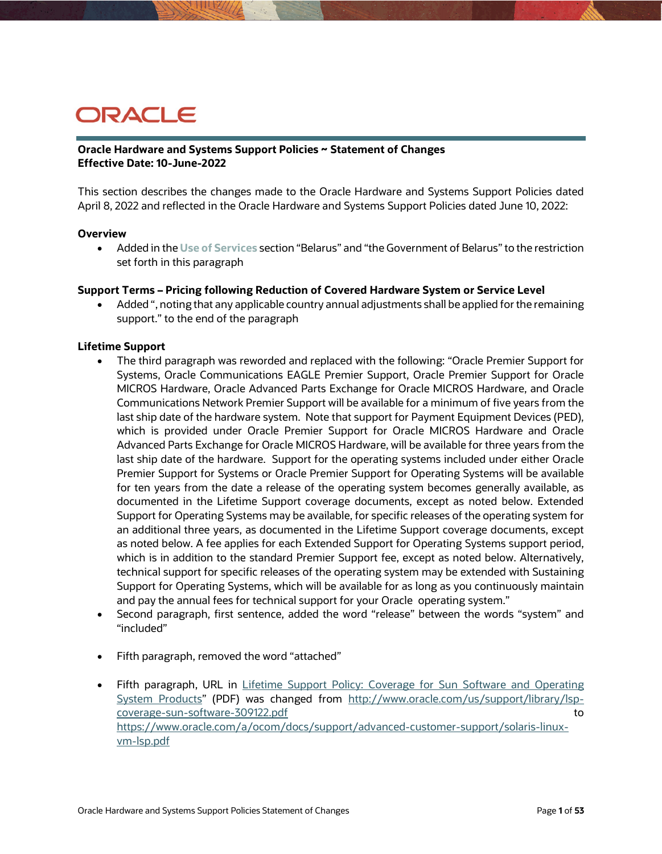# ORACLE

### **Oracle Hardware and Systems Support Policies ~ Statement of Changes Effective Date: 10-June-2022**

This section describes the changes made to the Oracle Hardware and Systems Support Policies dated April 8, 2022 and reflected in the Oracle Hardware and Systems Support Policies dated June 10, 2022:

### **Overview**

 Added in the **Use of Services** section "Belarus" and "the Government of Belarus" to the restriction set forth in this paragraph

### **Support Terms – Pricing following Reduction of Covered Hardware System or Service Level**

 Added ", noting that any applicable country annual adjustments shall be applied for the remaining support." to the end of the paragraph

### **Lifetime Support**

- The third paragraph was reworded and replaced with the following: "Oracle Premier Support for Systems, Oracle Communications EAGLE Premier Support, Oracle Premier Support for Oracle MICROS Hardware, Oracle Advanced Parts Exchange for Oracle MICROS Hardware, and Oracle Communications Network Premier Support will be available for a minimum of five years from the last ship date of the hardware system. Note that support for Payment Equipment Devices (PED), which is provided under Oracle Premier Support for Oracle MICROS Hardware and Oracle Advanced Parts Exchange for Oracle MICROS Hardware, will be available for three years from the last ship date of the hardware. Support for the operating systems included under either Oracle Premier Support for Systems or Oracle Premier Support for Operating Systems will be available for ten years from the date a release of the operating system becomes generally available, as documented in the Lifetime Support coverage documents, except as noted below. Extended Support for Operating Systems may be available, for specific releases of the operating system for an additional three years, as documented in the Lifetime Support coverage documents, except as noted below. A fee applies for each Extended Support for Operating Systems support period, which is in addition to the standard Premier Support fee, except as noted below. Alternatively, technical support for specific releases of the operating system may be extended with Sustaining Support for Operating Systems, which will be available for as long as you continuously maintain and pay the annual fees for technical support for your Oracle operating system."
- Second paragraph, first sentence, added the word "release" between the words "system" and "included"
- Fifth paragraph, removed the word "attached"
- Fifth paragraph, URL in Lifetime Support Policy: Coverage for Sun Software and Operating [System Products"](http://www.oracle.com/us/support/library/lsp-coverage-sun-software-309122.pdf) (PDF) was changed from [http://www.oracle.com/us/support/library/lsp](http://www.oracle.com/us/support/library/lsp-coverage-sun-software-309122.pdf)[coverage-sun-software-309122.pdf](http://www.oracle.com/us/support/library/lsp-coverage-sun-software-309122.pdf) to the coverage-sun-software-309122.pdf [https://www.oracle.com/a/ocom/docs/support/advanced-customer-support/solaris-linux](https://www.oracle.com/a/ocom/docs/support/advanced-customer-support/solaris-linux-vm-lsp.pdf)[vm-lsp.pdf](https://www.oracle.com/a/ocom/docs/support/advanced-customer-support/solaris-linux-vm-lsp.pdf)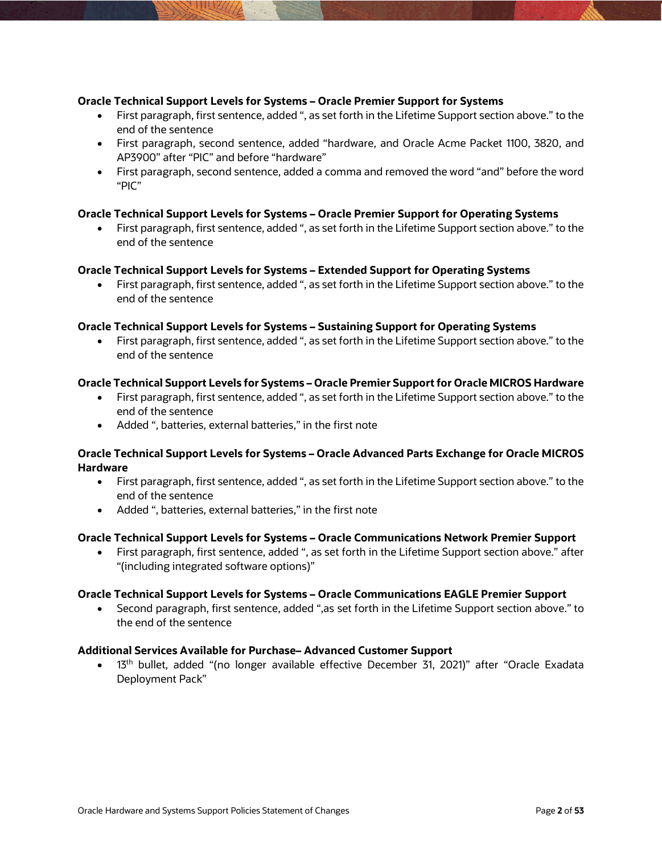### **Oracle Technical Support Levels for Systems – Oracle Premier Support for Systems**

- First paragraph, first sentence, added ", as set forth in the Lifetime Support section above." to the end of the sentence
- First paragraph, second sentence, added "hardware, and Oracle Acme Packet 1100, 3820, and AP3900" after "PIC" and before "hardware"
- First paragraph, second sentence, added a comma and removed the word "and" before the word "PIC"

### **Oracle Technical Support Levels for Systems – Oracle Premier Support for Operating Systems**

 First paragraph, first sentence, added ", as set forth in the Lifetime Support section above." to the end of the sentence

### **Oracle Technical Support Levels for Systems – Extended Support for Operating Systems**

 First paragraph, first sentence, added ", as set forth in the Lifetime Support section above." to the end of the sentence

### **Oracle Technical Support Levels for Systems – Sustaining Support for Operating Systems**

 First paragraph, first sentence, added ", as set forth in the Lifetime Support section above." to the end of the sentence

### **Oracle Technical Support Levels for Systems – Oracle Premier Support for Oracle MICROS Hardware**

- First paragraph, first sentence, added ", as set forth in the Lifetime Support section above." to the end of the sentence
- Added ", batteries, external batteries," in the first note

### **Oracle Technical Support Levels for Systems – Oracle Advanced Parts Exchange for Oracle MICROS Hardware**

- First paragraph, first sentence, added ", as set forth in the Lifetime Support section above." to the end of the sentence
- Added ", batteries, external batteries," in the first note

### **Oracle Technical Support Levels for Systems – Oracle Communications Network Premier Support**

 First paragraph, first sentence, added ", as set forth in the Lifetime Support section above." after "(including integrated software options)"

### **Oracle Technical Support Levels for Systems – Oracle Communications EAGLE Premier Support**

 Second paragraph, first sentence, added ",as set forth in the Lifetime Support section above." to the end of the sentence

### **Additional Services Available for Purchase– Advanced Customer Support**

• 13<sup>th</sup> bullet, added "(no longer available effective December 31, 2021)" after "Oracle Exadata Deployment Pack"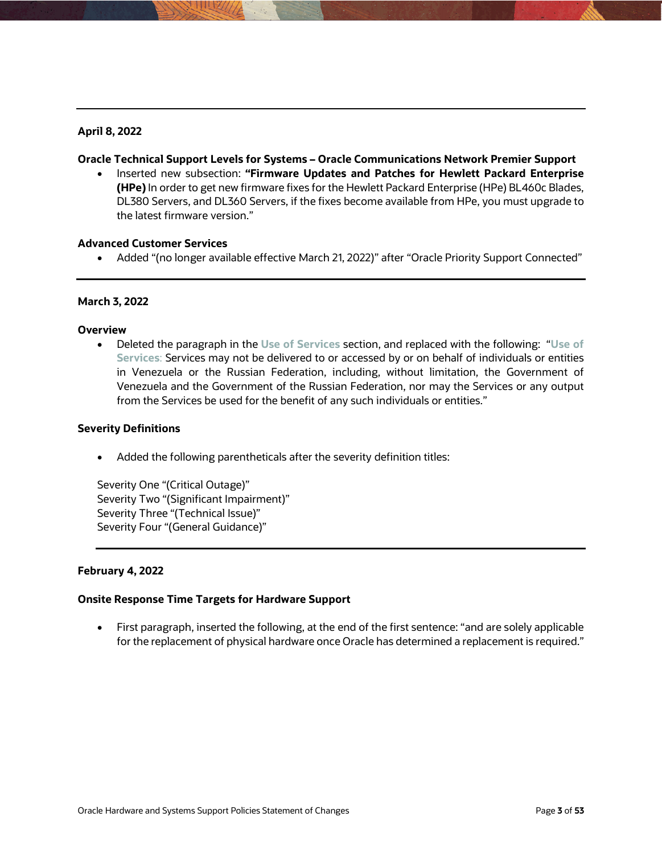# **April 8, 2022**

### **Oracle Technical Support Levels for Systems – Oracle Communications Network Premier Support**

 Inserted new subsection: **"Firmware Updates and Patches for Hewlett Packard Enterprise (HPe)** In order to get new firmware fixes for the Hewlett Packard Enterprise (HPe) BL460c Blades, DL380 Servers, and DL360 Servers, if the fixes become available from HPe, you must upgrade to the latest firmware version."

### **Advanced Customer Services**

Added "(no longer available effective March 21, 2022)" after "Oracle Priority Support Connected"

### **March 3, 2022**

#### **Overview**

 Deleted the paragraph in the **Use of Services** section, and replaced with the following: "**Use of Services**: Services may not be delivered to or accessed by or on behalf of individuals or entities in Venezuela or the Russian Federation, including, without limitation, the Government of Venezuela and the Government of the Russian Federation, nor may the Services or any output from the Services be used for the benefit of any such individuals or entities."

### **Severity Definitions**

Added the following parentheticals after the severity definition titles:

Severity One "(Critical Outage)" Severity Two "(Significant Impairment)" Severity Three "(Technical Issue)" Severity Four "(General Guidance)"

### **February 4, 2022**

### **Onsite Response Time Targets for Hardware Support**

 First paragraph, inserted the following, at the end of the first sentence: "and are solely applicable for the replacement of physical hardware once Oracle has determined a replacement is required."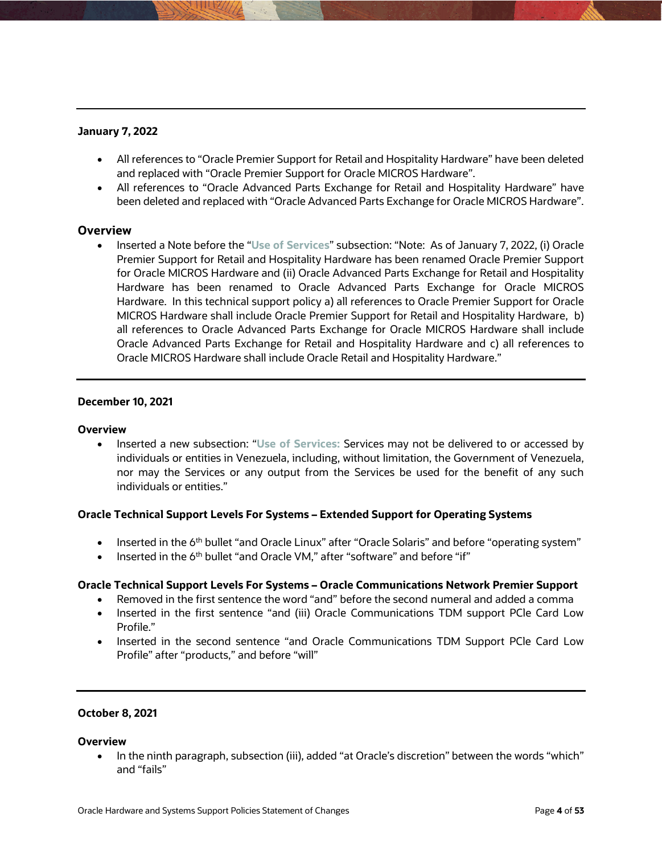# **January 7, 2022**

- All references to "Oracle Premier Support for Retail and Hospitality Hardware" have been deleted and replaced with "Oracle Premier Support for Oracle MICROS Hardware".
- All references to "Oracle Advanced Parts Exchange for Retail and Hospitality Hardware" have been deleted and replaced with "Oracle Advanced Parts Exchange for Oracle MICROS Hardware".

# **Overview**

 Inserted a Note before the "**Use of Services**" subsection: "Note: As of January 7, 2022, (i) Oracle Premier Support for Retail and Hospitality Hardware has been renamed Oracle Premier Support for Oracle MICROS Hardware and (ii) Oracle Advanced Parts Exchange for Retail and Hospitality Hardware has been renamed to Oracle Advanced Parts Exchange for Oracle MICROS Hardware. In this technical support policy a) all references to Oracle Premier Support for Oracle MICROS Hardware shall include Oracle Premier Support for Retail and Hospitality Hardware, b) all references to Oracle Advanced Parts Exchange for Oracle MICROS Hardware shall include Oracle Advanced Parts Exchange for Retail and Hospitality Hardware and c) all references to Oracle MICROS Hardware shall include Oracle Retail and Hospitality Hardware."

### **December 10, 2021**

### **Overview**

 Inserted a new subsection: "**Use of Services:** Services may not be delivered to or accessed by individuals or entities in Venezuela, including, without limitation, the Government of Venezuela, nor may the Services or any output from the Services be used for the benefit of any such individuals or entities."

# **Oracle Technical Support Levels For Systems – Extended Support for Operating Systems**

- **Inserted in the 6<sup>th</sup> bullet "and Oracle Linux" after "Oracle Solaris" and before "operating system"**
- Inserted in the 6<sup>th</sup> bullet "and Oracle VM," after "software" and before "if"

# **Oracle Technical Support Levels For Systems – Oracle Communications Network Premier Support**

- Removed in the first sentence the word "and" before the second numeral and added a comma
- Inserted in the first sentence "and (iii) Oracle Communications TDM support PCle Card Low Profile."
- Inserted in the second sentence "and Oracle Communications TDM Support PCle Card Low Profile" after "products," and before "will"

# **October 8, 2021**

### **Overview**

 In the ninth paragraph, subsection (iii), added "at Oracle's discretion" between the words "which" and "fails"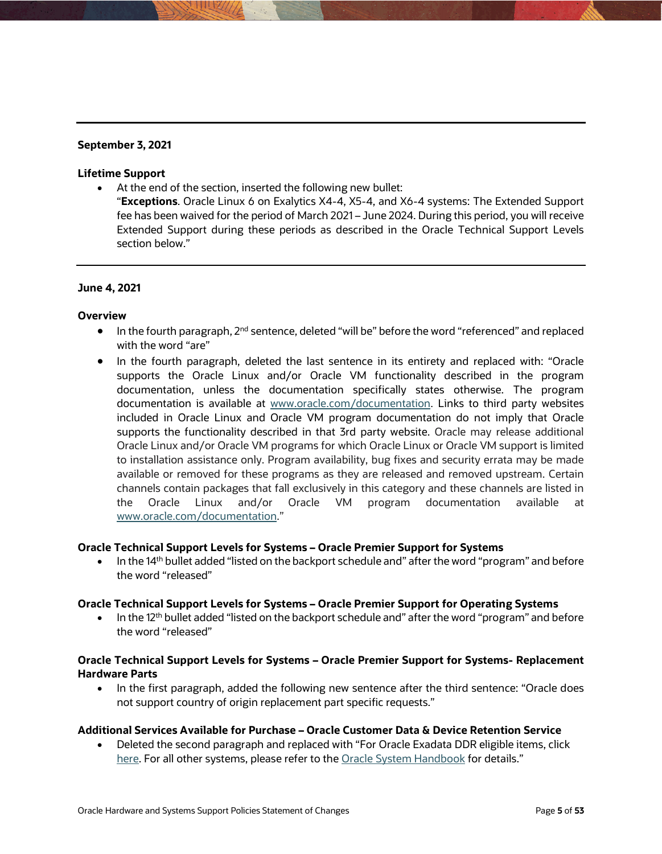# **September 3, 2021**

### **Lifetime Support**

- At the end of the section, inserted the following new bullet:
	- "**Exceptions**. Oracle Linux 6 on Exalytics X4-4, X5-4, and X6-4 systems: The Extended Support fee has been waived for the period of March 2021 – June 2024. During this period, you will receive Extended Support during these periods as described in the Oracle Technical Support Levels section below."

# **June 4, 2021**

# **Overview**

- $\bullet$  In the fourth paragraph, 2<sup>nd</sup> sentence, deleted "will be" before the word "referenced" and replaced with the word "are"
- In the fourth paragraph, deleted the last sentence in its entirety and replaced with: "Oracle supports the Oracle Linux and/or Oracle VM functionality described in the program documentation, unless the documentation specifically states otherwise. The program documentation is available at [www.oracle.com/documentation.](http://www.oracle.com/documentation) Links to third party websites included in Oracle Linux and Oracle VM program documentation do not imply that Oracle supports the functionality described in that 3rd party website. Oracle may release additional Oracle Linux and/or Oracle VM programs for which Oracle Linux or Oracle VM support is limited to installation assistance only. Program availability, bug fixes and security errata may be made available or removed for these programs as they are released and removed upstream. Certain channels contain packages that fall exclusively in this category and these channels are listed in the Oracle Linux and/or Oracle VM program documentation available at [www.oracle.com/documentation.](http://www.oracle.com/documentation)"

# **Oracle Technical Support Levels for Systems – Oracle Premier Support for Systems**

• In the 14<sup>th</sup> bullet added "listed on the backport schedule and" after the word "program" and before the word "released"

# **Oracle Technical Support Levels for Systems – Oracle Premier Support for Operating Systems**

 $\bullet$  In the 12<sup>th</sup> bullet added "listed on the backport schedule and" after the word "program" and before the word "released"

# **Oracle Technical Support Levels for Systems – Oracle Premier Support for Systems- Replacement Hardware Parts**

• In the first paragraph, added the following new sentence after the third sentence: "Oracle does not support country of origin replacement part specific requests."

# **Additional Services Available for Purchase – Oracle Customer Data & Device Retention Service**

 Deleted the second paragraph and replaced with "For Oracle Exadata DDR eligible items, click [here.](https://www.oracle.com/a/ocom/docs/support/exadata-ddr.pdf) For all other systems, please refer to the [Oracle System Handbook](https://support.oracle.com/handbook_private/index.html) for details."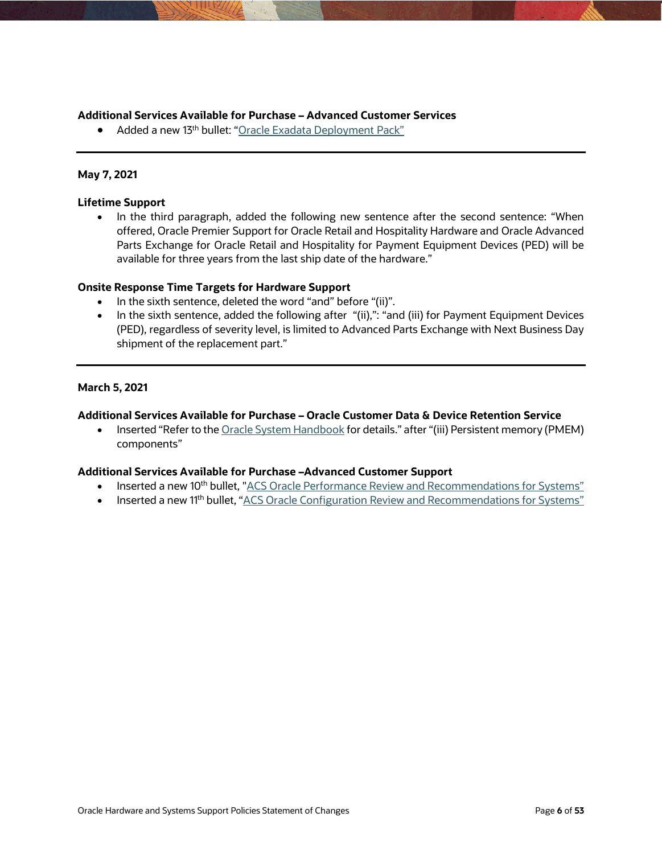### **Additional Services Available for Purchase – Advanced Customer Services**

• Added a new 13<sup>th</sup> bullet: ["Oracle Exadata Deployment Pack"](https://www.oracle.com/a/ocom/docs/oracle-exadata-deployment-pack.pdf)

### **May 7, 2021**

### **Lifetime Support**

• In the third paragraph, added the following new sentence after the second sentence: "When offered, Oracle Premier Support for Oracle Retail and Hospitality Hardware and Oracle Advanced Parts Exchange for Oracle Retail and Hospitality for Payment Equipment Devices (PED) will be available for three years from the last ship date of the hardware."

### **Onsite Response Time Targets for Hardware Support**

- In the sixth sentence, deleted the word "and" before "(ii)".
- In the sixth sentence, added the following after "(ii),": "and (iii) for Payment Equipment Devices (PED), regardless of severity level, is limited to Advanced Parts Exchange with Next Business Day shipment of the replacement part."

### **March 5, 2021**

### **Additional Services Available for Purchase – Oracle Customer Data & Device Retention Service**

• Inserted "Refer to the [Oracle System Handbook f](https://support.oracle.com/handbook_private/index.html)or details." after "(iii) Persistent memory (PMEM) components"

### **Additional Services Available for Purchase –Advanced Customer Support**

- Inserted a new 10<sup>th</sup> bullet, ["ACS Oracle Performance Review and Recommendations for Systems"](https://www.oracle.com/assets/acs-perf-recomm-rev-systems-5042235.pdf)
- Inserted a new 11<sup>th</sup> bullet, ["ACS Oracle Configuration Review and Recommendations for Systems"](https://www.oracle.com/assets/acs-config-review-systems-5042236.pdf)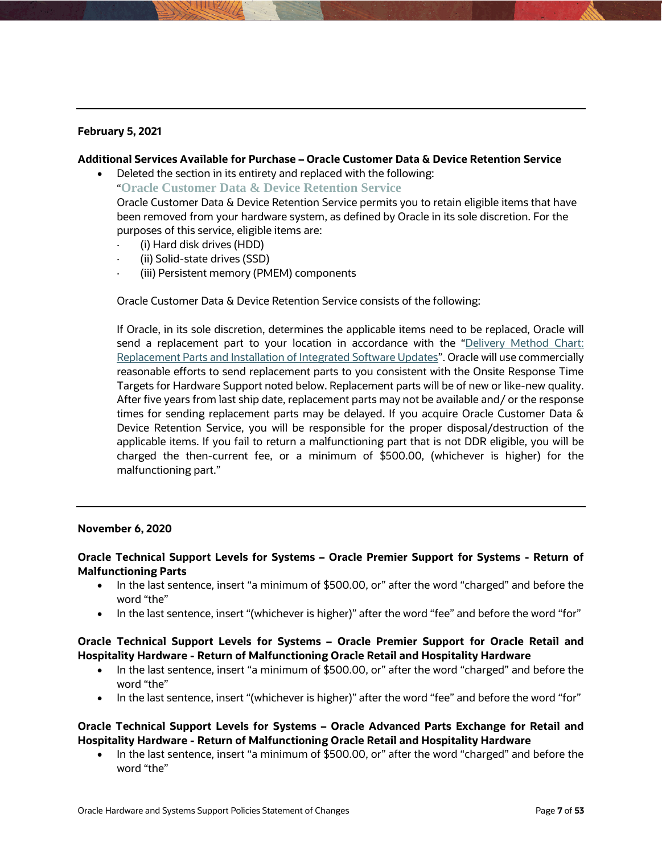# **February 5, 2021**

### **Additional Services Available for Purchase – Oracle Customer Data & Device Retention Service**

 Deleted the section in its entirety and replaced with the following: "**Oracle Customer Data & Device Retention Service** 

Oracle Customer Data & Device Retention Service permits you to retain eligible items that have been removed from your hardware system, as defined by Oracle in its sole discretion. For the purposes of this service, eligible items are:

- · (i) Hard disk drives (HDD)
- · (ii) Solid-state drives (SSD)
- (iii) Persistent memory (PMEM) components

Oracle Customer Data & Device Retention Service consists of the following:

If Oracle, in its sole discretion, determines the applicable items need to be replaced, Oracle will send a replacement part to your location in accordance with the "Delivery Method Chart: [Replacement Parts and Installation of Integrated Software Updates"](http://www.oracle.com/us/support/policies/hardware-installation-chart-181589.pdf). Oracle will use commercially reasonable efforts to send replacement parts to you consistent with the Onsite Response Time Targets for Hardware Support noted below. Replacement parts will be of new or like-new quality. After five years from last ship date, replacement parts may not be available and/ or the response times for sending replacement parts may be delayed. If you acquire Oracle Customer Data & Device Retention Service, you will be responsible for the proper disposal/destruction of the applicable items. If you fail to return a malfunctioning part that is not DDR eligible, you will be charged the then-current fee, or a minimum of \$500.00, (whichever is higher) for the malfunctioning part."

### **November 6, 2020**

# **Oracle Technical Support Levels for Systems – Oracle Premier Support for Systems - Return of Malfunctioning Parts**

- In the last sentence, insert "a minimum of \$500.00, or" after the word "charged" and before the word "the"
- In the last sentence, insert "(whichever is higher)" after the word "fee" and before the word "for"

### **Oracle Technical Support Levels for Systems – Oracle Premier Support for Oracle Retail and Hospitality Hardware - Return of Malfunctioning Oracle Retail and Hospitality Hardware**

- In the last sentence, insert "a minimum of \$500.00, or" after the word "charged" and before the word "the"
- In the last sentence, insert "(whichever is higher)" after the word "fee" and before the word "for"

# **Oracle Technical Support Levels for Systems – Oracle Advanced Parts Exchange for Retail and Hospitality Hardware - Return of Malfunctioning Oracle Retail and Hospitality Hardware**

• In the last sentence, insert "a minimum of \$500.00, or" after the word "charged" and before the word "the"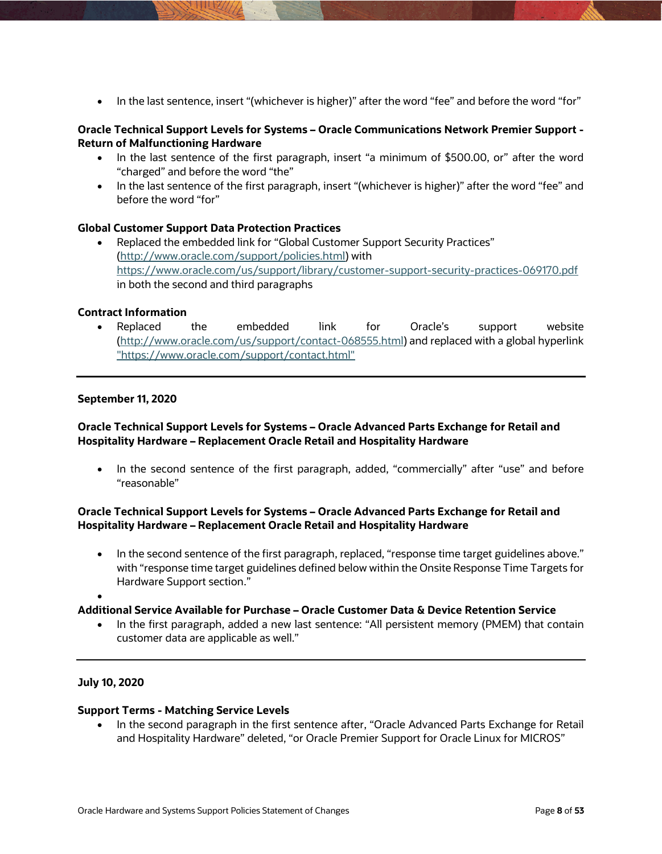• In the last sentence, insert "(whichever is higher)" after the word "fee" and before the word "for"

### **Oracle Technical Support Levels for Systems – Oracle Communications Network Premier Support - Return of Malfunctioning Hardware**

- In the last sentence of the first paragraph, insert "a minimum of \$500.00, or" after the word "charged" and before the word "the"
- In the last sentence of the first paragraph, insert "(whichever is higher)" after the word "fee" and before the word "for"

# **Global Customer Support Data Protection Practices**

 Replaced the embedded link for "Global Customer Support Security Practices" [\(http://www.oracle.com/support/policies.html\)](http://www.oracle.com/support/policies.html) with <https://www.oracle.com/us/support/library/customer-support-security-practices-069170.pdf> in both the second and third paragraphs

### **Contract Information**

 Replaced the embedded link for Oracle's support website [\(http://www.oracle.com/us/support/contact-068555.html\)](http://www.oracle.com/us/support/contact-068555.html) and replaced with a global hyperlink ["https://www.oracle.com/support/contact.html"](https://www.oracle.com/support/contact.html)

### **September 11, 2020**

# **Oracle Technical Support Levels for Systems – Oracle Advanced Parts Exchange for Retail and Hospitality Hardware – Replacement Oracle Retail and Hospitality Hardware**

 In the second sentence of the first paragraph, added, "commercially" after "use" and before "reasonable"

# **Oracle Technical Support Levels for Systems – Oracle Advanced Parts Exchange for Retail and Hospitality Hardware – Replacement Oracle Retail and Hospitality Hardware**

- In the second sentence of the first paragraph, replaced, "response time target guidelines above." with "response time target guidelines defined below within the Onsite Response Time Targets for Hardware Support section."
- $\bullet$

### **Additional Service Available for Purchase – Oracle Customer Data & Device Retention Service**

 In the first paragraph, added a new last sentence: "All persistent memory (PMEM) that contain customer data are applicable as well."

### **July 10, 2020**

### **Support Terms - Matching Service Levels**

• In the second paragraph in the first sentence after, "Oracle Advanced Parts Exchange for Retail and Hospitality Hardware" deleted, "or Oracle Premier Support for Oracle Linux for MICROS"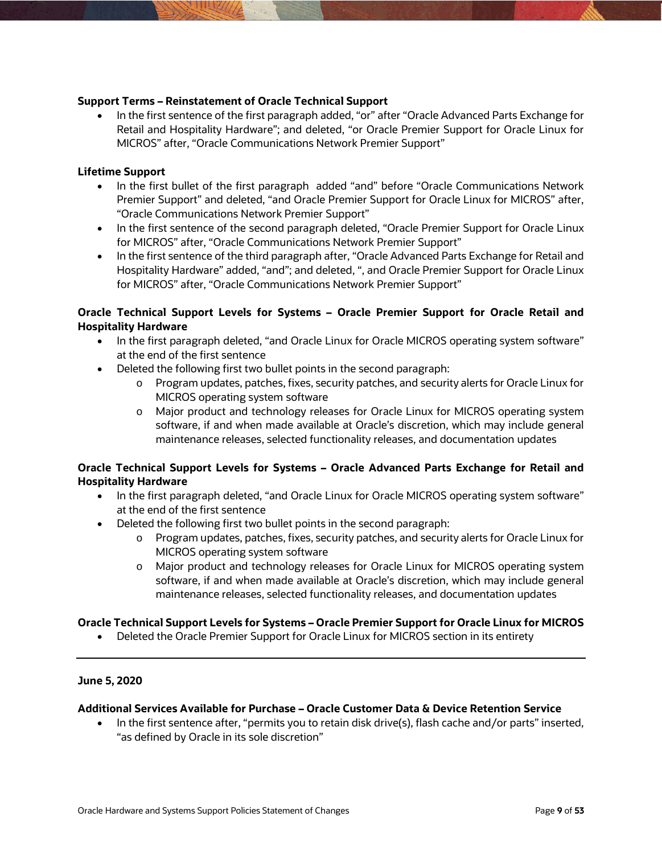### **Support Terms – Reinstatement of Oracle Technical Support**

• In the first sentence of the first paragraph added, "or" after "Oracle Advanced Parts Exchange for Retail and Hospitality Hardware"; and deleted, "or Oracle Premier Support for Oracle Linux for MICROS" after, "Oracle Communications Network Premier Support"

### **Lifetime Support**

- In the first bullet of the first paragraph added "and" before "Oracle Communications Network Premier Support" and deleted, "and Oracle Premier Support for Oracle Linux for MICROS" after, "Oracle Communications Network Premier Support"
- In the first sentence of the second paragraph deleted, "Oracle Premier Support for Oracle Linux for MICROS" after, "Oracle Communications Network Premier Support"
- In the first sentence of the third paragraph after, "Oracle Advanced Parts Exchange for Retail and Hospitality Hardware" added, "and"; and deleted, ", and Oracle Premier Support for Oracle Linux for MICROS" after, "Oracle Communications Network Premier Support"

# **Oracle Technical Support Levels for Systems – Oracle Premier Support for Oracle Retail and Hospitality Hardware**

- In the first paragraph deleted, "and Oracle Linux for Oracle MICROS operating system software" at the end of the first sentence
- Deleted the following first two bullet points in the second paragraph:
	- o Program updates, patches, fixes, security patches, and security alerts for Oracle Linux for MICROS operating system software
	- o Major product and technology releases for Oracle Linux for MICROS operating system software, if and when made available at Oracle's discretion, which may include general maintenance releases, selected functionality releases, and documentation updates

# **Oracle Technical Support Levels for Systems – Oracle Advanced Parts Exchange for Retail and Hospitality Hardware**

- In the first paragraph deleted, "and Oracle Linux for Oracle MICROS operating system software" at the end of the first sentence
- Deleted the following first two bullet points in the second paragraph:
	- o Program updates, patches, fixes, security patches, and security alerts for Oracle Linux for MICROS operating system software
	- o Major product and technology releases for Oracle Linux for MICROS operating system software, if and when made available at Oracle's discretion, which may include general maintenance releases, selected functionality releases, and documentation updates

# **Oracle Technical Support Levels for Systems – Oracle Premier Support for Oracle Linux for MICROS**

• Deleted the Oracle Premier Support for Oracle Linux for MICROS section in its entirety

### **June 5, 2020**

### **Additional Services Available for Purchase – Oracle Customer Data & Device Retention Service**

• In the first sentence after, "permits you to retain disk drive(s), flash cache and/or parts" inserted, "as defined by Oracle in its sole discretion"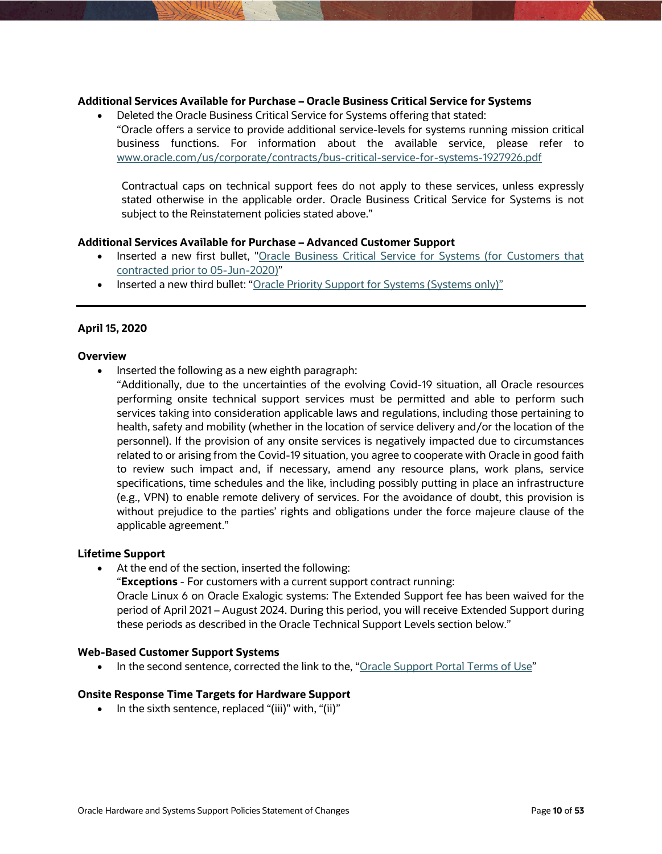### **Additional Services Available for Purchase – Oracle Business Critical Service for Systems**

 Deleted the Oracle Business Critical Service for Systems offering that stated: "Oracle offers a service to provide additional service-levels for systems running mission critical business functions. For information about the available service, please refer to [www.oracle.com/us/corporate/contracts/bus-critical-service-for-systems-1927926.pdf](http://www.oracle.com/us/corporate/contracts/bus-critical-service-for-systems-1927926.pdf)

Contractual caps on technical support fees do not apply to these services, unless expressly stated otherwise in the applicable order. Oracle Business Critical Service for Systems is not subject to the Reinstatement policies stated above."

### **Additional Services Available for Purchase – Advanced Customer Support**

- Inserted a new first bullet, "Oracle Business Critical Service for Systems (for Customers that [contracted prior to 05-Jun-2020\)"](http://www.oracle.com/us/corporate/contracts/bus-critical-service-for-systems-1927926.pdf)
- Inserted a new third bullet: ["Oracle Priority Support for Systems \(Systems only\)"](https://www.oracle.com/a/ocom/docs/corporate/oracle-priority-support-for-systems.pdf)

### **April 15, 2020**

### **Overview**

- Inserted the following as a new eighth paragraph:
	- "Additionally, due to the uncertainties of the evolving Covid-19 situation, all Oracle resources performing onsite technical support services must be permitted and able to perform such services taking into consideration applicable laws and regulations, including those pertaining to health, safety and mobility (whether in the location of service delivery and/or the location of the personnel). If the provision of any onsite services is negatively impacted due to circumstances related to or arising from the Covid-19 situation, you agree to cooperate with Oracle in good faith to review such impact and, if necessary, amend any resource plans, work plans, service specifications, time schedules and the like, including possibly putting in place an infrastructure (e.g., VPN) to enable remote delivery of services. For the avoidance of doubt, this provision is without prejudice to the parties' rights and obligations under the force majeure clause of the applicable agreement."

### **Lifetime Support**

At the end of the section, inserted the following:

"**Exceptions** - For customers with a current support contract running:

Oracle Linux 6 on Oracle Exalogic systems: The Extended Support fee has been waived for the period of April 2021 – August 2024. During this period, you will receive Extended Support during these periods as described in the Oracle Technical Support Levels section below."

### **Web-Based Customer Support Systems**

• In the second sentence, corrected the link to the, ["Oracle Support Portal Terms of Use"](https://www.oracle.com/support/supportportalterms.html)

### **Onsite Response Time Targets for Hardware Support**

 $\bullet$  In the sixth sentence, replaced "(iii)" with, "(ii)"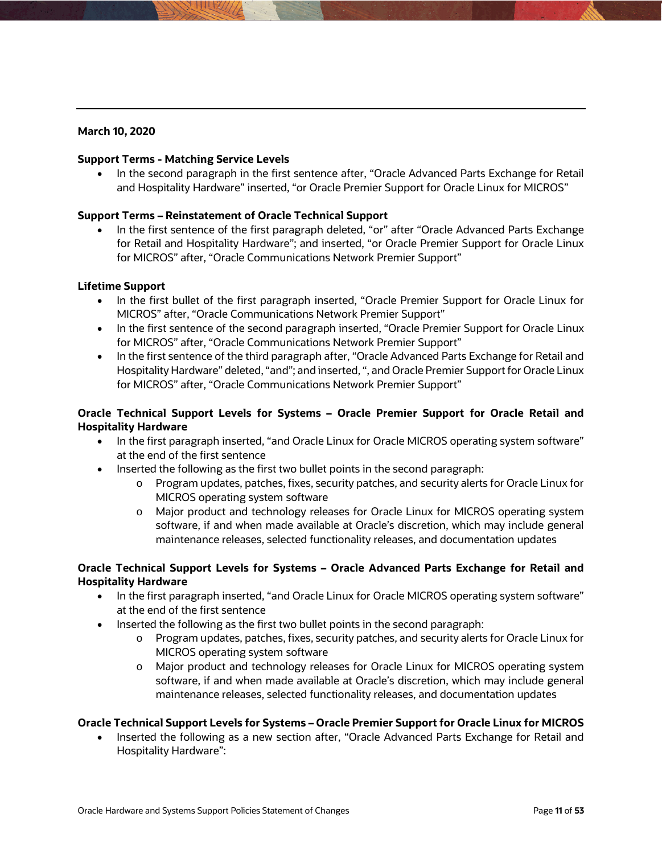# **March 10, 2020**

### **Support Terms - Matching Service Levels**

 In the second paragraph in the first sentence after, "Oracle Advanced Parts Exchange for Retail and Hospitality Hardware" inserted, "or Oracle Premier Support for Oracle Linux for MICROS"

# **Support Terms – Reinstatement of Oracle Technical Support**

• In the first sentence of the first paragraph deleted, "or" after "Oracle Advanced Parts Exchange for Retail and Hospitality Hardware"; and inserted, "or Oracle Premier Support for Oracle Linux for MICROS" after, "Oracle Communications Network Premier Support"

### **Lifetime Support**

- In the first bullet of the first paragraph inserted, "Oracle Premier Support for Oracle Linux for MICROS" after, "Oracle Communications Network Premier Support"
- In the first sentence of the second paragraph inserted, "Oracle Premier Support for Oracle Linux for MICROS" after, "Oracle Communications Network Premier Support"
- In the first sentence of the third paragraph after, "Oracle Advanced Parts Exchange for Retail and Hospitality Hardware" deleted, "and"; and inserted, ", and Oracle Premier Support for Oracle Linux for MICROS" after, "Oracle Communications Network Premier Support"

# **Oracle Technical Support Levels for Systems – Oracle Premier Support for Oracle Retail and Hospitality Hardware**

- In the first paragraph inserted, "and Oracle Linux for Oracle MICROS operating system software" at the end of the first sentence
- Inserted the following as the first two bullet points in the second paragraph:
	- o Program updates, patches, fixes, security patches, and security alerts for Oracle Linux for MICROS operating system software
	- o Major product and technology releases for Oracle Linux for MICROS operating system software, if and when made available at Oracle's discretion, which may include general maintenance releases, selected functionality releases, and documentation updates

# **Oracle Technical Support Levels for Systems – Oracle Advanced Parts Exchange for Retail and Hospitality Hardware**

- In the first paragraph inserted, "and Oracle Linux for Oracle MICROS operating system software" at the end of the first sentence
- Inserted the following as the first two bullet points in the second paragraph:
	- o Program updates, patches, fixes, security patches, and security alerts for Oracle Linux for MICROS operating system software
	- o Major product and technology releases for Oracle Linux for MICROS operating system software, if and when made available at Oracle's discretion, which may include general maintenance releases, selected functionality releases, and documentation updates

# **Oracle Technical Support Levels for Systems – Oracle Premier Support for Oracle Linux for MICROS**

 Inserted the following as a new section after, "Oracle Advanced Parts Exchange for Retail and Hospitality Hardware":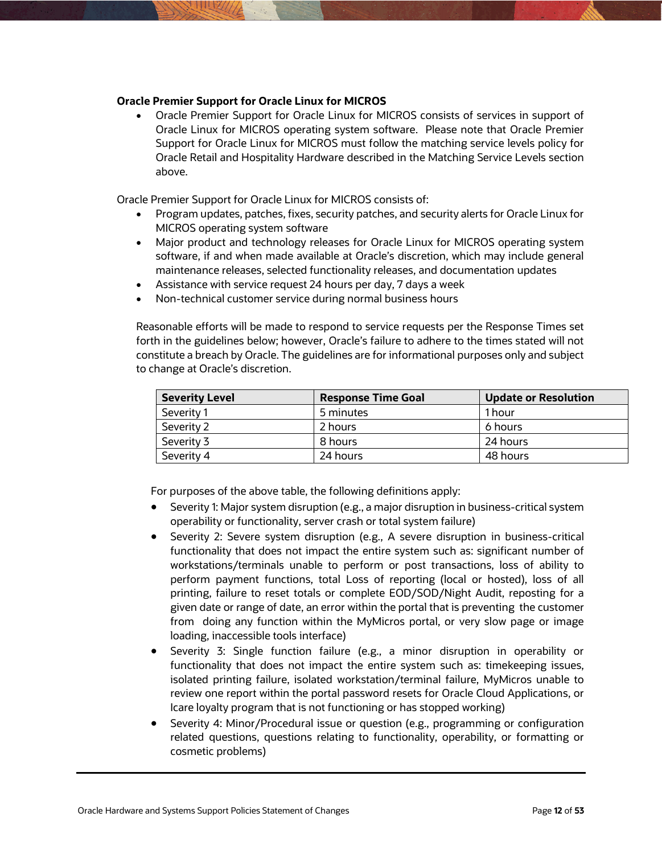### **Oracle Premier Support for Oracle Linux for MICROS**

 Oracle Premier Support for Oracle Linux for MICROS consists of services in support of Oracle Linux for MICROS operating system software. Please note that Oracle Premier Support for Oracle Linux for MICROS must follow the matching service levels policy for Oracle Retail and Hospitality Hardware described in the Matching Service Levels section above.

Oracle Premier Support for Oracle Linux for MICROS consists of:

- Program updates, patches, fixes, security patches, and security alerts for Oracle Linux for MICROS operating system software
- Major product and technology releases for Oracle Linux for MICROS operating system software, if and when made available at Oracle's discretion, which may include general maintenance releases, selected functionality releases, and documentation updates
- Assistance with service request 24 hours per day, 7 days a week
- Non-technical customer service during normal business hours

Reasonable efforts will be made to respond to service requests per the Response Times set forth in the guidelines below; however, Oracle's failure to adhere to the times stated will not constitute a breach by Oracle. The guidelines are for informational purposes only and subject to change at Oracle's discretion.

| <b>Severity Level</b> | <b>Response Time Goal</b> | <b>Update or Resolution</b> |
|-----------------------|---------------------------|-----------------------------|
| Severity 1            | 5 minutes                 | 1 hour                      |
| Severity 2            | 2 hours                   | 6 hours                     |
| Severity 3            | 8 hours                   | 24 hours                    |
| Severity 4            | 24 hours                  | 48 hours                    |

For purposes of the above table, the following definitions apply:

- Severity 1: Major system disruption (e.g., a major disruption in business-critical system operability or functionality, server crash or total system failure)
- Severity 2: Severe system disruption (e.g., A severe disruption in business-critical functionality that does not impact the entire system such as: significant number of workstations/terminals unable to perform or post transactions, loss of ability to perform payment functions, total Loss of reporting (local or hosted), loss of all printing, failure to reset totals or complete EOD/SOD/Night Audit, reposting for a given date or range of date, an error within the portal that is preventing the customer from doing any function within the MyMicros portal, or very slow page or image loading, inaccessible tools interface)
- Severity 3: Single function failure (e.g., a minor disruption in operability or functionality that does not impact the entire system such as: timekeeping issues, isolated printing failure, isolated workstation/terminal failure, MyMicros unable to review one report within the portal password resets for Oracle Cloud Applications, or Icare loyalty program that is not functioning or has stopped working)
- Severity 4: Minor/Procedural issue or question (e.g., programming or configuration related questions, questions relating to functionality, operability, or formatting or cosmetic problems)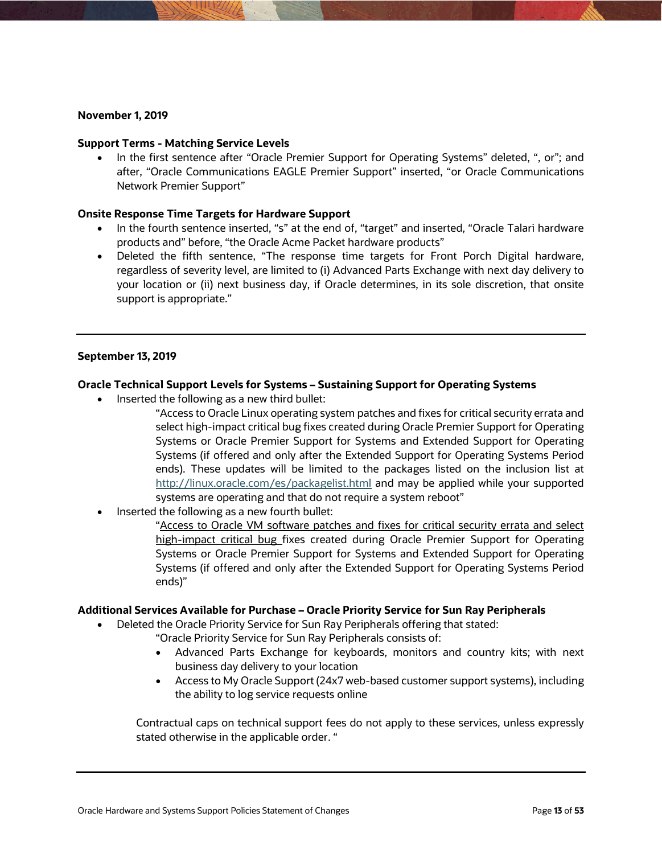#### **November 1, 2019**

#### **Support Terms - Matching Service Levels**

 In the first sentence after "Oracle Premier Support for Operating Systems" deleted, ", or"; and after, "Oracle Communications EAGLE Premier Support" inserted, "or Oracle Communications Network Premier Support"

### **Onsite Response Time Targets for Hardware Support**

- In the fourth sentence inserted, "s" at the end of, "target" and inserted, "Oracle Talari hardware products and" before, "the Oracle Acme Packet hardware products"
- Deleted the fifth sentence, "The response time targets for Front Porch Digital hardware, regardless of severity level, are limited to (i) Advanced Parts Exchange with next day delivery to your location or (ii) next business day, if Oracle determines, in its sole discretion, that onsite support is appropriate."

### **September 13, 2019**

### **Oracle Technical Support Levels for Systems – Sustaining Support for Operating Systems**

- Inserted the following as a new third bullet:
	- "Access to Oracle Linux operating system patches and fixes for critical security errata and select high-impact critical bug fixes created during Oracle Premier Support for Operating Systems or Oracle Premier Support for Systems and Extended Support for Operating Systems (if offered and only after the Extended Support for Operating Systems Period ends). These updates will be limited to the packages listed on the inclusion list at <http://linux.oracle.com/es/packagelist.html> and may be applied while your supported systems are operating and that do not require a system reboot"
- Inserted the following as a new fourth bullet:

"Access to Oracle VM software patches and fixes for critical security errata and select high-impact critical bug fixes created during Oracle Premier Support for Operating Systems or Oracle Premier Support for Systems and Extended Support for Operating Systems (if offered and only after the Extended Support for Operating Systems Period ends)"

#### **Additional Services Available for Purchase – Oracle Priority Service for Sun Ray Peripherals**

Deleted the Oracle Priority Service for Sun Ray Peripherals offering that stated:

"Oracle Priority Service for Sun Ray Peripherals consists of:

- Advanced Parts Exchange for keyboards, monitors and country kits; with next business day delivery to your location
- Access to My Oracle Support (24x7 web-based customer support systems), including the ability to log service requests online

Contractual caps on technical support fees do not apply to these services, unless expressly stated otherwise in the applicable order. "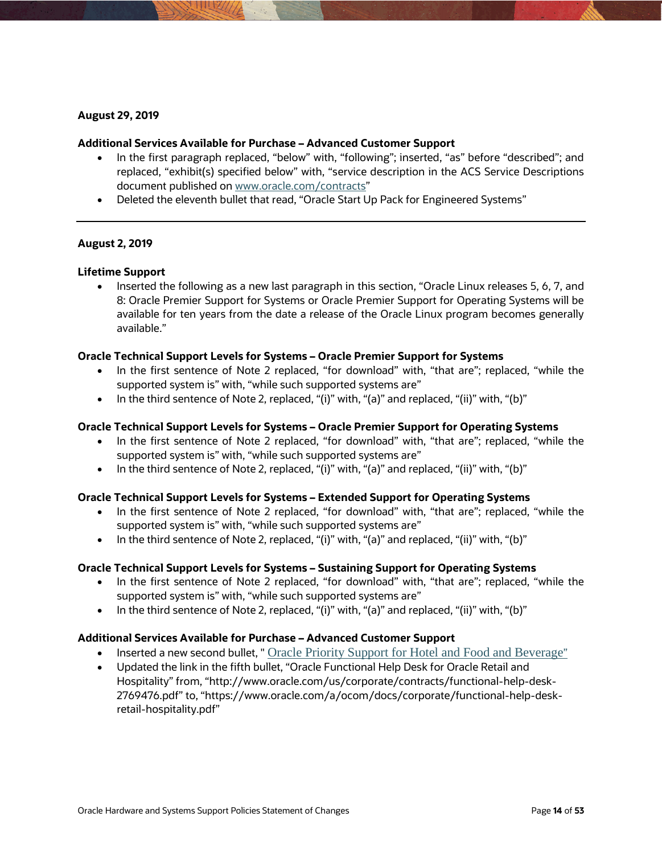### **August 29, 2019**

#### **Additional Services Available for Purchase – Advanced Customer Support**

- In the first paragraph replaced, "below" with, "following"; inserted, "as" before "described"; and replaced, "exhibit(s) specified below" with, "service description in the ACS Service Descriptions document published o[n www.oracle.com/contracts"](http://www.oracle.com/contracts)
- Deleted the eleventh bullet that read, "Oracle Start Up Pack for Engineered Systems"

### **August 2, 2019**

#### **Lifetime Support**

• Inserted the following as a new last paragraph in this section, "Oracle Linux releases 5, 6, 7, and 8: Oracle Premier Support for Systems or Oracle Premier Support for Operating Systems will be available for ten years from the date a release of the Oracle Linux program becomes generally available."

#### **Oracle Technical Support Levels for Systems – Oracle Premier Support for Systems**

- In the first sentence of Note 2 replaced, "for download" with, "that are"; replaced, "while the supported system is" with, "while such supported systems are"
- In the third sentence of Note 2, replaced, "(i)" with, "(a)" and replaced, "(ii)" with, "(b)"

#### **Oracle Technical Support Levels for Systems – Oracle Premier Support for Operating Systems**

- In the first sentence of Note 2 replaced, "for download" with, "that are"; replaced, "while the supported system is" with, "while such supported systems are"
- In the third sentence of Note 2, replaced, " $(i)$ " with, " $(a)$ " and replaced, " $(ii)$ " with, " $(b)$ "

### **Oracle Technical Support Levels for Systems – Extended Support for Operating Systems**

- In the first sentence of Note 2 replaced, "for download" with, "that are"; replaced, "while the supported system is" with, "while such supported systems are"
- $\bullet$  In the third sentence of Note 2, replaced, "(i)" with, "(a)" and replaced, "(ii)" with, "(b)"

### **Oracle Technical Support Levels for Systems – Sustaining Support for Operating Systems**

- In the first sentence of Note 2 replaced, "for download" with, "that are"; replaced, "while the supported system is" with, "while such supported systems are"
- In the third sentence of Note 2, replaced, " $(i)$ " with, " $(a)$ " and replaced, " $(ii)$ " with, " $(b)$ "

### **Additional Services Available for Purchase – Advanced Customer Support**

- Inserted a new second bullet, " [Oracle Priority Support for Hotel and Food and Beverage](https://www.oracle.com/assets/adv-customer-support-service-desc-3758596.pdf)"
- Updated the link in the fifth bullet, ["Oracle Functional Help Desk for Oracle Retail and](https://www.oracle.com/a/ocom/docs/corporate/functional-help-desk-retail-hospitality.pdf)  [Hospitality"](https://www.oracle.com/a/ocom/docs/corporate/functional-help-desk-retail-hospitality.pdf) from, "http://www.oracle.com/us/corporate/contracts/functional-help-desk-2769476.pdf" to, "https://www.oracle.com/a/ocom/docs/corporate/functional-help-deskretail-hospitality.pdf"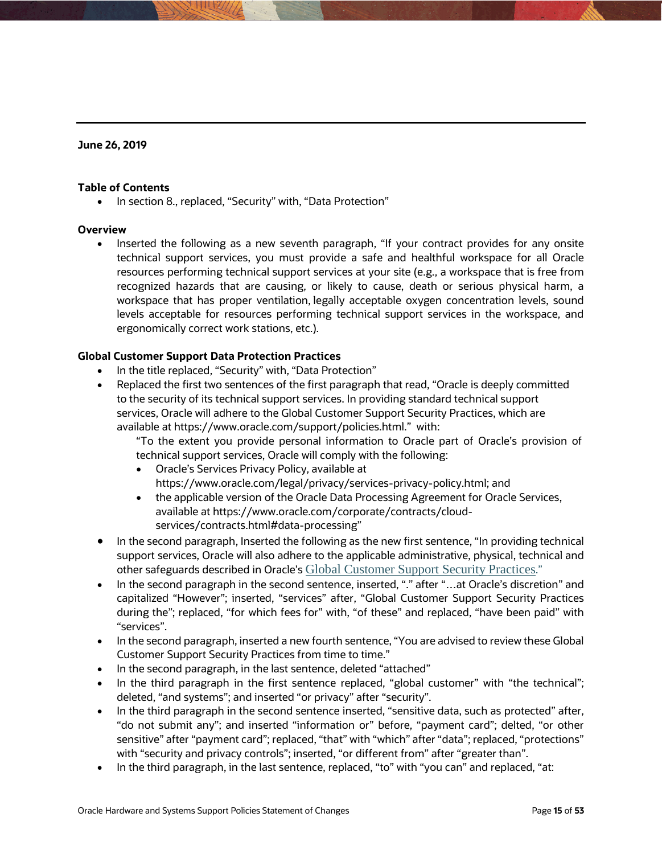### **June 26, 2019**

### **Table of Contents**

• In section 8., replaced, "Security" with, "Data Protection"

### **Overview**

• Inserted the following as a new seventh paragraph, "If your contract provides for any onsite technical support services, you must provide a safe and healthful workspace for all Oracle resources performing technical support services at your site (e.g., a workspace that is free from recognized hazards that are causing, or likely to cause, death or serious physical harm, a workspace that has proper ventilation, legally acceptable oxygen concentration levels, sound levels acceptable for resources performing technical support services in the workspace, and ergonomically correct work stations, etc.).

### **Global Customer Support Data Protection Practices**

- In the title replaced, "Security" with, "Data Protection"
- Replaced the first two sentences of the first paragraph that read, "Oracle is deeply committed to the security of its technical support services. In providing standard technical support services, Oracle will adhere to the Global Customer Support Security Practices, which are available at [https://www.oracle.com/support/policies.html.](https://www.oracle.com/support/policies.html)" with:

"To the extent you provide personal information to Oracle part of Oracle's provision of technical support services, Oracle will comply with the following:

- Oracle's Services Privacy Policy, available at [https://www.oracle.com/legal/privacy/services-privacy-policy.html;](https://www.oracle.com/legal/privacy/services-privacy-policy.html) and
- the applicable version of the Oracle Data Processing Agreement for Oracle Services, available at [https://www.oracle.com/corporate/contracts/cloud](https://www.oracle.com/corporate/contracts/cloud-services/contracts.html#data-processing)[services/contracts.html#data-processing"](https://www.oracle.com/corporate/contracts/cloud-services/contracts.html#data-processing)
- In the second paragraph, Inserted the following as the new first sentence, "In providing technical support services, Oracle will also adhere to the applicable administrative, physical, technical and other safeguards described in Oracle's [Global Customer Support Security Practices](http://www.oracle.com/support/policies.html)."
- In the second paragraph in the second sentence, inserted, "." after "…at Oracle's discretion" and capitalized "However"; inserted, "services" after, "Global Customer Support Security Practices during the"; replaced, "for which fees for" with, "of these" and replaced, "have been paid" with "services".
- In the second paragraph, inserted a new fourth sentence, "You are advised to review these Global Customer Support Security Practices from time to time."
- In the second paragraph, in the last sentence, deleted "attached"
- In the third paragraph in the first sentence replaced, "global customer" with "the technical"; deleted, "and systems"; and inserted "or privacy" after "security".
- In the third paragraph in the second sentence inserted, "sensitive data, such as protected" after, "do not submit any"; and inserted "information or" before, "payment card"; delted, "or other sensitive" after "payment card"; replaced, "that" with "which" after "data"; replaced, "protections" with "security and privacy controls"; inserted, "or different from" after "greater than".
- In the third paragraph, in the last sentence, replaced, "to" with "you can" and replaced, "at: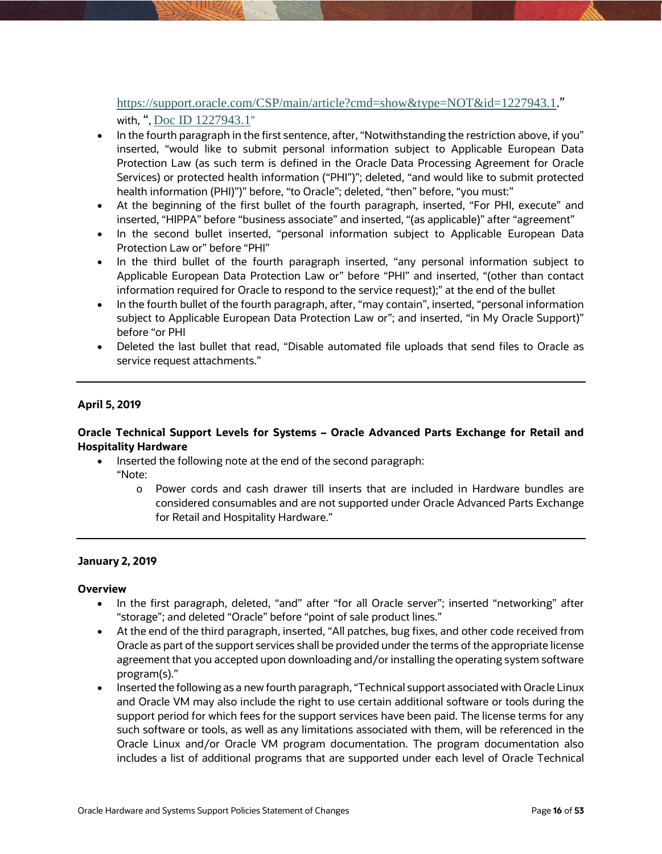# <https://support.oracle.com/CSP/main/article?cmd=show&type=NOT&id=1227943.1>." with, ", [Doc ID 1227943.1](https://support.oracle.com/epmos/faces/DocumentDisplay?_afrLoop=298447614971970&id=1227943.1&_afrWindowMode=0&_adf.ctrl-state=wlbagb4cc_4)"

- In the fourth paragraph in the first sentence, after, "Notwithstanding the restriction above, if you" inserted, "would like to submit personal information subject to Applicable European Data Protection Law (as such term is defined in the Oracle Data Processing Agreement for Oracle Services) or protected health information ("PHI")"; deleted, "and would like to submit protected health information (PHI)")" before, "to Oracle"; deleted, "then" before, "you must:"
- At the beginning of the first bullet of the fourth paragraph, inserted, "For PHI, execute" and inserted, "HIPPA" before "business associate" and inserted, "(as applicable)" after "agreement"
- In the second bullet inserted, "personal information subject to Applicable European Data Protection Law or" before "PHI"
- In the third bullet of the fourth paragraph inserted, "any personal information subject to Applicable European Data Protection Law or" before "PHI" and inserted, "(other than contact information required for Oracle to respond to the service request);" at the end of the bullet
- In the fourth bullet of the fourth paragraph, after, "may contain", inserted, "personal information subject to Applicable European Data Protection Law or"; and inserted, "in My Oracle Support)" before "or PHI
- Deleted the last bullet that read, "Disable automated file uploads that send files to Oracle as service request attachments."

# **April 5, 2019**

# **Oracle Technical Support Levels for Systems – Oracle Advanced Parts Exchange for Retail and Hospitality Hardware**

- Inserted the following note at the end of the second paragraph:
	- "Note:
		- o Power cords and cash drawer till inserts that are included in Hardware bundles are considered consumables and are not supported under Oracle Advanced Parts Exchange for Retail and Hospitality Hardware."

# **January 2, 2019**

### **Overview**

- In the first paragraph, deleted, "and" after "for all Oracle server"; inserted "networking" after "storage"; and deleted "Oracle" before "point of sale product lines."
- At the end of the third paragraph, inserted, "All patches, bug fixes, and other code received from Oracle as part of the support services shall be provided under the terms of the appropriate license agreement that you accepted upon downloading and/or installing the operating system software program(s)."
- Inserted the following as a new fourth paragraph, "Technical support associated with Oracle Linux and Oracle VM may also include the right to use certain additional software or tools during the support period for which fees for the support services have been paid. The license terms for any such software or tools, as well as any limitations associated with them, will be referenced in the Oracle Linux and/or Oracle VM program documentation. The program documentation also includes a list of additional programs that are supported under each level of Oracle Technical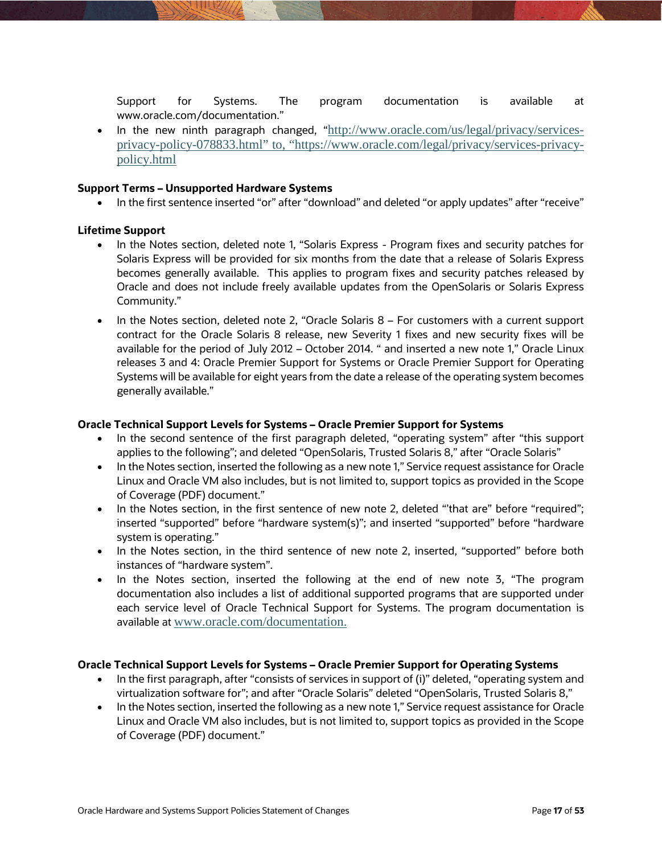Support for Systems. The program documentation is available at [www.oracle.com/documentation.](http://www.oracle.com/documentation)"

• In the new ninth paragraph changed, "[http://www.oracle.com/us/legal/privacy/services](http://www.oracle.com/us/legal/privacy/services-privacy-policy-078833.html)[privacy-policy-078833.html"](http://www.oracle.com/us/legal/privacy/services-privacy-policy-078833.html) to, "https://www.oracle.com/legal/privacy/services-privacypolicy.html

### **Support Terms – Unsupported Hardware Systems**

In the first sentence inserted "or" after "download" and deleted "or apply updates" after "receive"

### **Lifetime Support**

- In the Notes section, deleted note 1, "Solaris Express Program fixes and security patches for Solaris Express will be provided for six months from the date that a release of Solaris Express becomes generally available. This applies to program fixes and security patches released by Oracle and does not include freely available updates from the OpenSolaris or Solaris Express Community."
- In the Notes section, deleted note 2, "Oracle Solaris 8 For customers with a current support contract for the Oracle Solaris 8 release, new Severity 1 fixes and new security fixes will be available for the period of July 2012 – October 2014. " and inserted a new note 1," Oracle Linux releases 3 and 4: Oracle Premier Support for Systems or Oracle Premier Support for Operating Systems will be available for eight years from the date a release of the operating system becomes generally available."

### **Oracle Technical Support Levels for Systems – Oracle Premier Support for Systems**

- In the second sentence of the first paragraph deleted, "operating system" after "this support applies to the following"; and deleted "OpenSolaris, Trusted Solaris 8," after "Oracle Solaris"
- In the Notes section, inserted the following as a new note 1," Service request assistance for Oracle Linux and Oracle VM also includes, but is not limited to, support topics as provided in th[e Scope](http://www.oracle.com/us/support/library/elsp-coverage-2378740.pdf)  [of Coverage](http://www.oracle.com/us/support/library/elsp-coverage-2378740.pdf) (PDF) document."
- In the Notes section, in the first sentence of new note 2, deleted "'that are" before "required"; inserted "supported" before "hardware system(s)"; and inserted "supported" before "hardware system is operating."
- In the Notes section, in the third sentence of new note 2, inserted, "supported" before both instances of "hardware system".
- In the Notes section, inserted the following at the end of new note 3, "The program documentation also includes a list of additional supported programs that are supported under each service level of Oracle Technical Support for Systems. The program documentation is available at [www.oracle.com/documentation.](http://www.oracle.com/documentation)

### **Oracle Technical Support Levels for Systems – Oracle Premier Support for Operating Systems**

- In the first paragraph, after "consists of services in support of (i)" deleted, "operating system and virtualization software for"; and after "Oracle Solaris" deleted "OpenSolaris, Trusted Solaris 8,"
- In the Notes section, inserted the following as a new note 1," Service request assistance for Oracle Linux and Oracle VM also includes, but is not limited to, support topics as provided in th[e Scope](http://www.oracle.com/us/support/library/elsp-coverage-2378740.pdf)  [of Coverage](http://www.oracle.com/us/support/library/elsp-coverage-2378740.pdf) (PDF) document."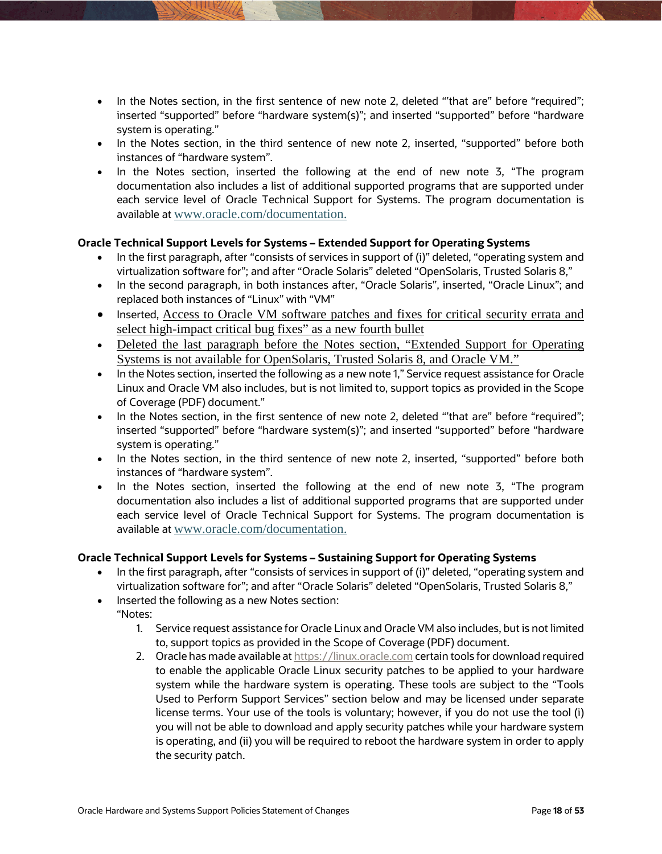- In the Notes section, in the first sentence of new note 2, deleted "'that are" before "required"; inserted "supported" before "hardware system(s)"; and inserted "supported" before "hardware system is operating."
- In the Notes section, in the third sentence of new note 2, inserted, "supported" before both instances of "hardware system".
- In the Notes section, inserted the following at the end of new note 3, "The program documentation also includes a list of additional supported programs that are supported under each service level of Oracle Technical Support for Systems. The program documentation is available at [www.oracle.com/documentation.](http://www.oracle.com/documentation)

# **Oracle Technical Support Levels for Systems – Extended Support for Operating Systems**

- In the first paragraph, after "consists of services in support of (i)" deleted, "operating system and virtualization software for"; and after "Oracle Solaris" deleted "OpenSolaris, Trusted Solaris 8,"
- In the second paragraph, in both instances after, "Oracle Solaris", inserted, "Oracle Linux"; and replaced both instances of "Linux" with "VM"
- Inserted, Access to Oracle VM software patches and fixes for critical security errata and select high-impact critical bug fixes" as a new fourth bullet
- Deleted the last paragraph before the Notes section, "Extended Support for Operating Systems is not available for OpenSolaris, Trusted Solaris 8, and Oracle VM."
- In the Notes section, inserted the following as a new note 1," Service request assistance for Oracle Linux and Oracle VM also includes, but is not limited to, support topics as provided in th[e Scope](http://www.oracle.com/us/support/library/elsp-coverage-2378740.pdf)  [of Coverage](http://www.oracle.com/us/support/library/elsp-coverage-2378740.pdf) (PDF) document."
- In the Notes section, in the first sentence of new note 2, deleted "'that are" before "required"; inserted "supported" before "hardware system(s)"; and inserted "supported" before "hardware system is operating."
- In the Notes section, in the third sentence of new note 2, inserted, "supported" before both instances of "hardware system".
- In the Notes section, inserted the following at the end of new note 3, "The program documentation also includes a list of additional supported programs that are supported under each service level of Oracle Technical Support for Systems. The program documentation is available at [www.oracle.com/documentation.](http://www.oracle.com/documentation)

# **Oracle Technical Support Levels for Systems – Sustaining Support for Operating Systems**

- In the first paragraph, after "consists of services in support of (i)" deleted, "operating system and virtualization software for"; and after "Oracle Solaris" deleted "OpenSolaris, Trusted Solaris 8,"
- Inserted the following as a new Notes section:
- "Notes:
	- 1. Service request assistance for Oracle Linux and Oracle VM also includes, but is not limited to, support topics as provided in the [Scope of Coverage](http://www.oracle.com/us/support/library/elsp-coverage-2378740.pdf) (PDF) document.
	- 2. Oracle has made available a[t https://linux.oracle.com](https://linux.oracle.com/pls/apex/f?p=101:3) certain tools for download required to enable the applicable Oracle Linux security patches to be applied to your hardware system while the hardware system is operating. These tools are subject to the "Tools Used to Perform Support Services" section below and may be licensed under separate license terms. Your use of the tools is voluntary; however, if you do not use the tool (i) you will not be able to download and apply security patches while your hardware system is operating, and (ii) you will be required to reboot the hardware system in order to apply the security patch.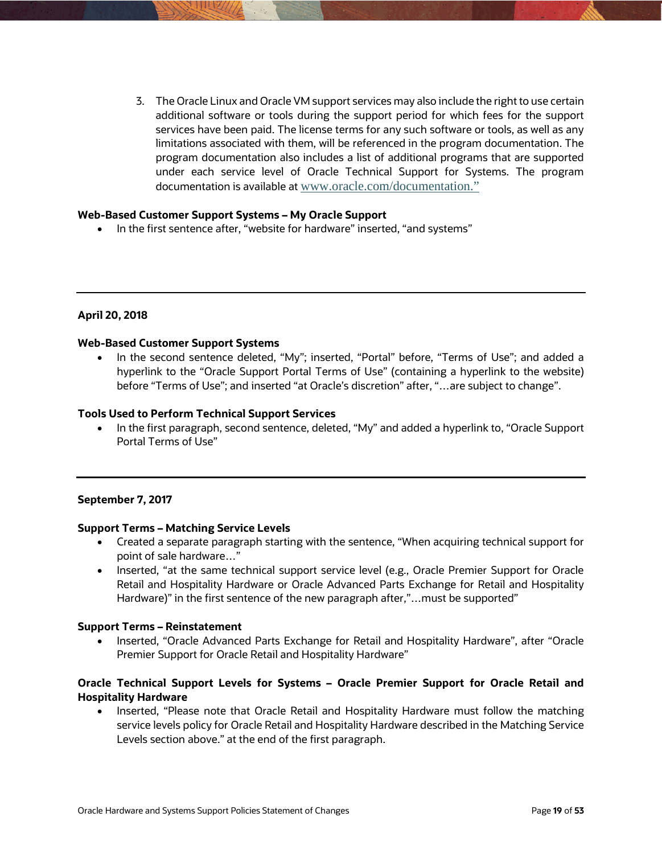3. The Oracle Linux and Oracle VM support services may also include the right to use certain additional software or tools during the support period for which fees for the support services have been paid. The license terms for any such software or tools, as well as any limitations associated with them, will be referenced in the program documentation. The program documentation also includes a list of additional programs that are supported under each service level of Oracle Technical Support for Systems. The program documentation is available at [www.oracle.com/documentation.](http://www.oracle.com/documentation)"

### **Web-Based Customer Support Systems – My Oracle Support**

• In the first sentence after, "website for hardware" inserted, "and systems"

### **April 20, 2018**

#### **Web-Based Customer Support Systems**

 In the second sentence deleted, "My"; inserted, "Portal" before, "Terms of Use"; and added a hyperlink to the "Oracle Support Portal Terms of Use" (containing a hyperlink to the website) before "Terms of Use"; and inserted "at Oracle's discretion" after, "…are subject to change".

#### **Tools Used to Perform Technical Support Services**

• In the first paragraph, second sentence, deleted, "My" and added a hyperlink to, "Oracle Support Portal Terms of Use"

### **September 7, 2017**

### **Support Terms – Matching Service Levels**

- Created a separate paragraph starting with the sentence, "When acquiring technical support for point of sale hardware…"
- Inserted, "at the same technical support service level (e.g., Oracle Premier Support for Oracle Retail and Hospitality Hardware or Oracle Advanced Parts Exchange for Retail and Hospitality Hardware)" in the first sentence of the new paragraph after,"...must be supported"

### **Support Terms – Reinstatement**

• Inserted, "Oracle Advanced Parts Exchange for Retail and Hospitality Hardware", after "Oracle Premier Support for Oracle Retail and Hospitality Hardware"

# **Oracle Technical Support Levels for Systems – Oracle Premier Support for Oracle Retail and Hospitality Hardware**

• Inserted, "Please note that Oracle Retail and Hospitality Hardware must follow the matching service levels policy for Oracle Retail and Hospitality Hardware described in the Matching Service Levels section above." at the end of the first paragraph.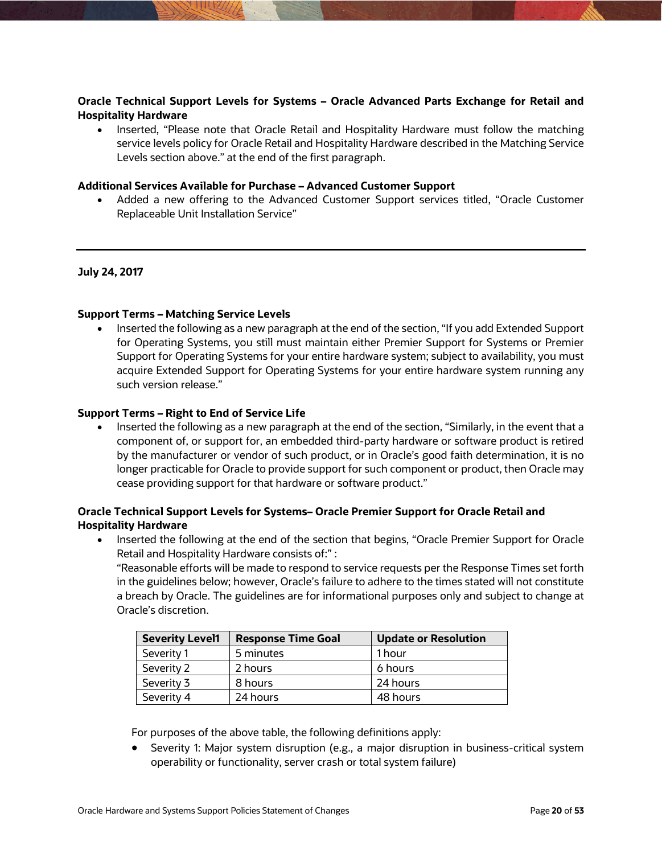# **Oracle Technical Support Levels for Systems – Oracle Advanced Parts Exchange for Retail and Hospitality Hardware**

• Inserted, "Please note that Oracle Retail and Hospitality Hardware must follow the matching service levels policy for Oracle Retail and Hospitality Hardware described in the Matching Service Levels section above." at the end of the first paragraph.

# **Additional Services Available for Purchase – Advanced Customer Support**

 Added a new offering to the Advanced Customer Support services titled, "Oracle Customer Replaceable Unit Installation Service"

### **July 24, 2017**

### **Support Terms – Matching Service Levels**

 Inserted the following as a new paragraph at the end of the section, "If you add Extended Support for Operating Systems, you still must maintain either Premier Support for Systems or Premier Support for Operating Systems for your entire hardware system; subject to availability, you must acquire Extended Support for Operating Systems for your entire hardware system running any such version release."

### **Support Terms – Right to End of Service Life**

 Inserted the following as a new paragraph at the end of the section, "Similarly, in the event that a component of, or support for, an embedded third-party hardware or software product is retired by the manufacturer or vendor of such product, or in Oracle's good faith determination, it is no longer practicable for Oracle to provide support for such component or product, then Oracle may cease providing support for that hardware or software product."

# **Oracle Technical Support Levels for Systems– Oracle Premier Support for Oracle Retail and Hospitality Hardware**

• Inserted the following at the end of the section that begins, "Oracle Premier Support for Oracle Retail and Hospitality Hardware consists of:" : "Reasonable efforts will be made to respond to service requests per the Response Times set forth

in the guidelines below; however, Oracle's failure to adhere to the times stated will not constitute a breach by Oracle. The guidelines are for informational purposes only and subject to change at Oracle's discretion.

| <b>Severity Level1</b> | <b>Response Time Goal</b> | <b>Update or Resolution</b> |
|------------------------|---------------------------|-----------------------------|
| Severity 1             | 5 minutes                 | 1 hour                      |
| Severity 2             | 2 hours                   | 6 hours                     |
| Severity 3             | 8 hours                   | 24 hours                    |
| Severity 4             | 24 hours                  | 48 hours                    |

For purposes of the above table, the following definitions apply:

 Severity 1: Major system disruption (e.g., a major disruption in business-critical system operability or functionality, server crash or total system failure)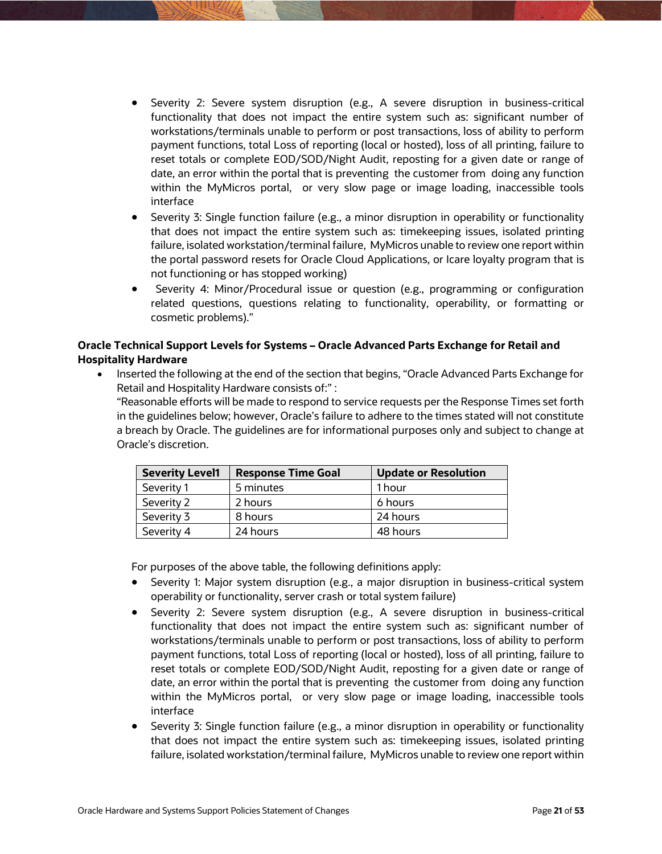- Severity 2: Severe system disruption (e.g., A severe disruption in business-critical functionality that does not impact the entire system such as: significant number of workstations/terminals unable to perform or post transactions, loss of ability to perform payment functions, total Loss of reporting (local or hosted), loss of all printing, failure to reset totals or complete EOD/SOD/Night Audit, reposting for a given date or range of date, an error within the portal that is preventing the customer from doing any function within the MyMicros portal, or very slow page or image loading, inaccessible tools interface
- Severity 3: Single function failure (e.g., a minor disruption in operability or functionality that does not impact the entire system such as: timekeeping issues, isolated printing failure, isolated workstation/terminal failure, MyMicros unable to review one report within the portal password resets for Oracle Cloud Applications, or Icare loyalty program that is not functioning or has stopped working)
- Severity 4: Minor/Procedural issue or question (e.g., programming or configuration related questions, questions relating to functionality, operability, or formatting or cosmetic problems)."

# **Oracle Technical Support Levels for Systems – Oracle Advanced Parts Exchange for Retail and Hospitality Hardware**

 Inserted the following at the end of the section that begins, "Oracle Advanced Parts Exchange for Retail and Hospitality Hardware consists of:" :

"Reasonable efforts will be made to respond to service requests per the Response Times set forth in the guidelines below; however, Oracle's failure to adhere to the times stated will not constitute a breach by Oracle. The guidelines are for informational purposes only and subject to change at Oracle's discretion.

| <b>Severity Level1</b> | <b>Response Time Goal</b> | <b>Update or Resolution</b> |
|------------------------|---------------------------|-----------------------------|
| Severity 1             | 5 minutes                 | 1 hour                      |
| Severity 2             | 2 hours                   | 6 hours                     |
| Severity 3             | 8 hours                   | 24 hours                    |
| Severity 4             | 24 hours                  | 48 hours                    |

For purposes of the above table, the following definitions apply:

- Severity 1: Major system disruption (e.g., a major disruption in business-critical system operability or functionality, server crash or total system failure)
- Severity 2: Severe system disruption (e.g., A severe disruption in business-critical functionality that does not impact the entire system such as: significant number of workstations/terminals unable to perform or post transactions, loss of ability to perform payment functions, total Loss of reporting (local or hosted), loss of all printing, failure to reset totals or complete EOD/SOD/Night Audit, reposting for a given date or range of date, an error within the portal that is preventing the customer from doing any function within the MyMicros portal, or very slow page or image loading, inaccessible tools interface
- Severity 3: Single function failure (e.g., a minor disruption in operability or functionality that does not impact the entire system such as: timekeeping issues, isolated printing failure, isolated workstation/terminal failure, MyMicros unable to review one report within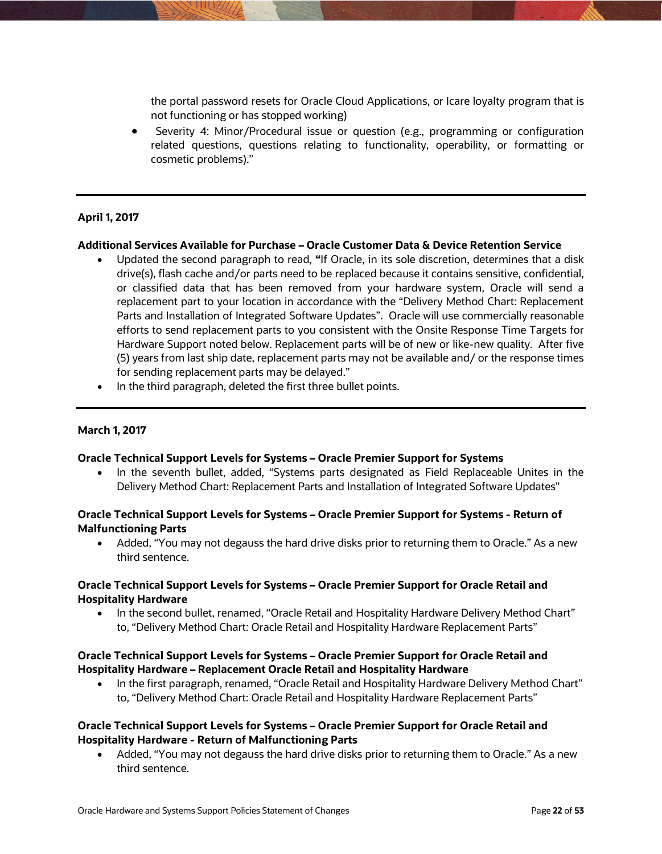the portal password resets for Oracle Cloud Applications, or Icare loyalty program that is not functioning or has stopped working)

 Severity 4: Minor/Procedural issue or question (e.g., programming or configuration related questions, questions relating to functionality, operability, or formatting or cosmetic problems)."

### **April 1, 2017**

### **Additional Services Available for Purchase – Oracle Customer Data & Device Retention Service**

- Updated the second paragraph to read, **"**If Oracle, in its sole discretion, determines that a disk drive(s), flash cache and/or parts need to be replaced because it contains sensitive, confidential, or classified data that has been removed from your hardware system, Oracle will send a replacement part to your location in accordance with the "Delivery Method Chart: Replacement Parts and Installation of Integrated Software Updates". Oracle will use commercially reasonable efforts to send replacement parts to you consistent with the Onsite Response Time Targets for Hardware Support noted below. Replacement parts will be of new or like-new quality. After five (5) years from last ship date, replacement parts may not be available and/ or the response times for sending replacement parts may be delayed."
- In the third paragraph, deleted the first three bullet points.

### **March 1, 2017**

### **Oracle Technical Support Levels for Systems – Oracle Premier Support for Systems**

• In the seventh bullet, added, "Systems parts designated as Field Replaceable Unites in the Delivery Method Chart: Replacement Parts and Installation of Integrated Software Updates"

### **Oracle Technical Support Levels for Systems – Oracle Premier Support for Systems - Return of Malfunctioning Parts**

 Added, "You may not degauss the hard drive disks prior to returning them to Oracle." As a new third sentence.

### **Oracle Technical Support Levels for Systems – Oracle Premier Support for Oracle Retail and Hospitality Hardware**

 In the second bullet, renamed, "Oracle Retail and Hospitality Hardware Delivery Method Chart" to, "Delivery Method Chart: Oracle Retail and Hospitality Hardware Replacement Parts"

### **Oracle Technical Support Levels for Systems – Oracle Premier Support for Oracle Retail and Hospitality Hardware – Replacement Oracle Retail and Hospitality Hardware**

• In the first paragraph, renamed, "Oracle Retail and Hospitality Hardware Delivery Method Chart" to, "Delivery Method Chart: Oracle Retail and Hospitality Hardware Replacement Parts"

# **Oracle Technical Support Levels for Systems – Oracle Premier Support for Oracle Retail and Hospitality Hardware - Return of Malfunctioning Parts**

 Added, "You may not degauss the hard drive disks prior to returning them to Oracle." As a new third sentence.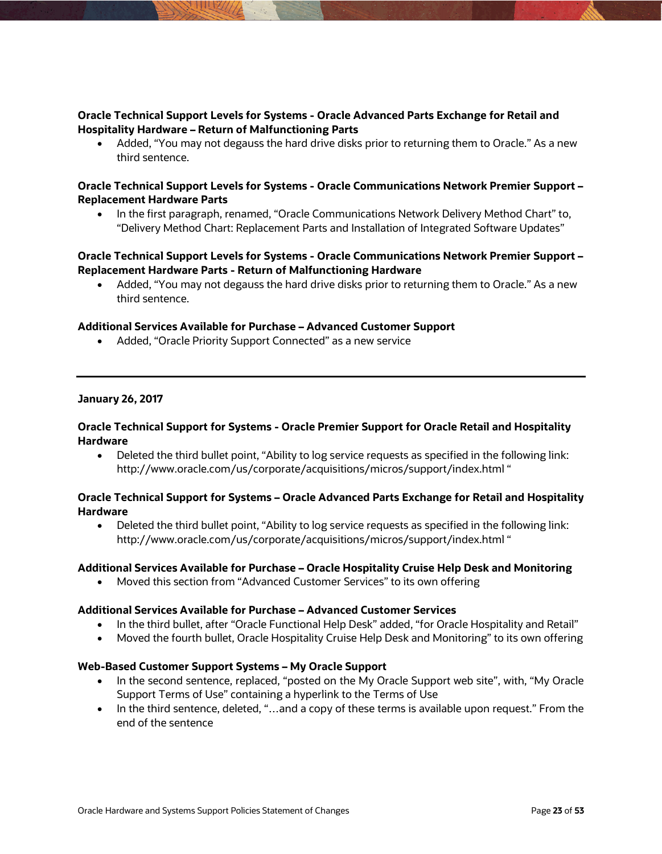# **Oracle Technical Support Levels for Systems - Oracle Advanced Parts Exchange for Retail and Hospitality Hardware – Return of Malfunctioning Parts**

 Added, "You may not degauss the hard drive disks prior to returning them to Oracle." As a new third sentence.

# **Oracle Technical Support Levels for Systems - Oracle Communications Network Premier Support – Replacement Hardware Parts**

 In the first paragraph, renamed, "Oracle Communications Network Delivery Method Chart" to, "Delivery Method Chart: Replacement Parts and Installation of Integrated Software Updates"

# **Oracle Technical Support Levels for Systems - Oracle Communications Network Premier Support – Replacement Hardware Parts - Return of Malfunctioning Hardware**

 Added, "You may not degauss the hard drive disks prior to returning them to Oracle." As a new third sentence.

### **Additional Services Available for Purchase – Advanced Customer Support**

Added, "Oracle Priority Support Connected" as a new service

### **January 26, 2017**

### **Oracle Technical Support for Systems - Oracle Premier Support for Oracle Retail and Hospitality Hardware**

 Deleted the third bullet point, "Ability to log service requests as specified in the following link: http://www.oracle.com/us/corporate/acquisitions/micros/support/index.html "

### **Oracle Technical Support for Systems – Oracle Advanced Parts Exchange for Retail and Hospitality Hardware**

 Deleted the third bullet point, "Ability to log service requests as specified in the following link: http://www.oracle.com/us/corporate/acquisitions/micros/support/index.html "

### **Additional Services Available for Purchase – Oracle Hospitality Cruise Help Desk and Monitoring**

Moved this section from "Advanced Customer Services" to its own offering

### **Additional Services Available for Purchase – Advanced Customer Services**

- In the third bullet, after "Oracle Functional Help Desk" added, "for Oracle Hospitality and Retail"
- Moved the fourth bullet, Oracle Hospitality Cruise Help Desk and Monitoring" to its own offering

### **Web-Based Customer Support Systems – My Oracle Support**

- In the second sentence, replaced, "posted on the My Oracle Support web site", with, "My Oracle Support Terms of Use" containing a hyperlink to the Terms of Use
- In the third sentence, deleted, "…and a copy of these terms is available upon request." From the end of the sentence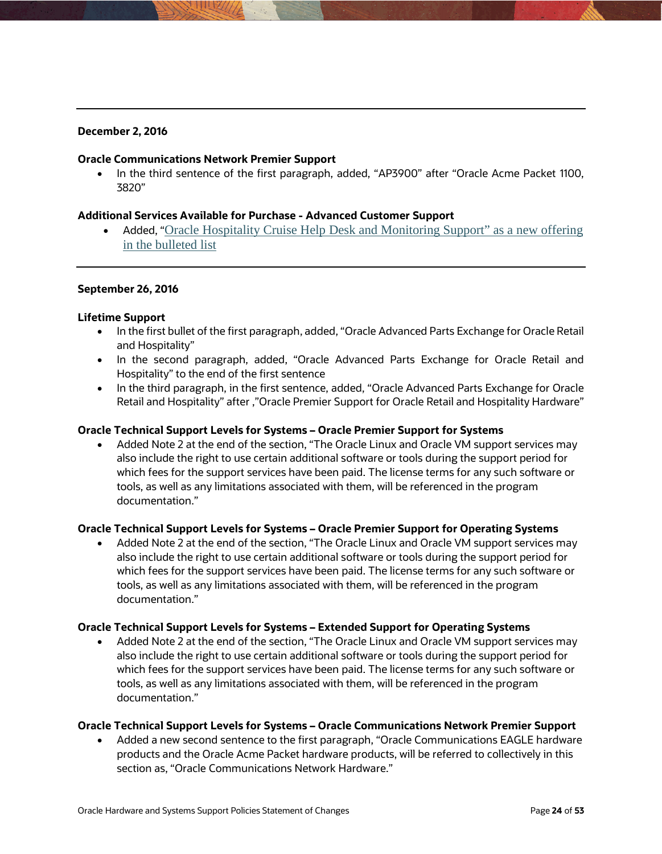# **December 2, 2016**

### **Oracle Communications Network Premier Support**

• In the third sentence of the first paragraph, added, "AP3900" after "Oracle Acme Packet 1100, 3820"

### **Additional Services Available for Purchase - Advanced Customer Support**

• Added, "Oracle Hospitality Cruise Help Desk and Monitoring Support" as a new offering in the bulleted list

### **September 26, 2016**

### **Lifetime Support**

- In the first bullet of the first paragraph, added, "Oracle Advanced Parts Exchange for Oracle Retail and Hospitality"
- In the second paragraph, added, "Oracle Advanced Parts Exchange for Oracle Retail and Hospitality" to the end of the first sentence
- In the third paragraph, in the first sentence, added, "Oracle Advanced Parts Exchange for Oracle Retail and Hospitality" after ,"Oracle Premier Support for Oracle Retail and Hospitality Hardware"

### **Oracle Technical Support Levels for Systems – Oracle Premier Support for Systems**

 Added Note 2 at the end of the section, "The Oracle Linux and Oracle VM support services may also include the right to use certain additional software or tools during the support period for which fees for the support services have been paid. The license terms for any such software or tools, as well as any limitations associated with them, will be referenced in the program documentation."

# **Oracle Technical Support Levels for Systems – Oracle Premier Support for Operating Systems**

 Added Note 2 at the end of the section, "The Oracle Linux and Oracle VM support services may also include the right to use certain additional software or tools during the support period for which fees for the support services have been paid. The license terms for any such software or tools, as well as any limitations associated with them, will be referenced in the program documentation."

### **Oracle Technical Support Levels for Systems – Extended Support for Operating Systems**

 Added Note 2 at the end of the section, "The Oracle Linux and Oracle VM support services may also include the right to use certain additional software or tools during the support period for which fees for the support services have been paid. The license terms for any such software or tools, as well as any limitations associated with them, will be referenced in the program documentation."

### **Oracle Technical Support Levels for Systems – Oracle Communications Network Premier Support**

 Added a new second sentence to the first paragraph, "Oracle Communications EAGLE hardware products and the Oracle Acme Packet hardware products, will be referred to collectively in this section as, "Oracle Communications Network Hardware."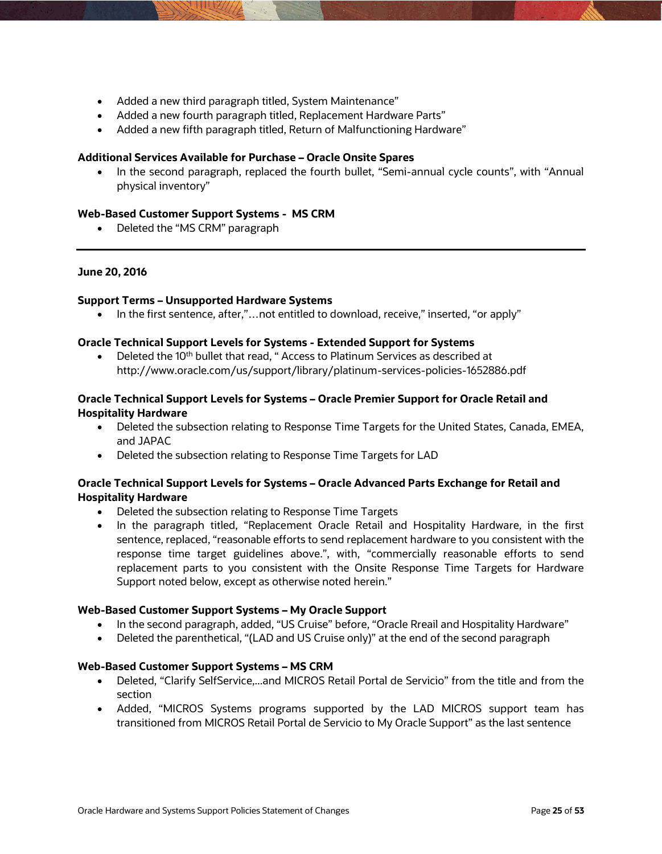- Added a new third paragraph titled, System Maintenance"
- Added a new fourth paragraph titled, Replacement Hardware Parts"
- Added a new fifth paragraph titled, Return of Malfunctioning Hardware"

### **Additional Services Available for Purchase – Oracle Onsite Spares**

• In the second paragraph, replaced the fourth bullet, "Semi-annual cycle counts", with "Annual physical inventory"

### **Web-Based Customer Support Systems - MS CRM**

• Deleted the "MS CRM" paragraph

#### **June 20, 2016**

#### **Support Terms – Unsupported Hardware Systems**

In the first sentence, after,"…not entitled to download, receive," inserted, "or apply"

#### **Oracle Technical Support Levels for Systems - Extended Support for Systems**

 $\bullet$  Deleted the 10<sup>th</sup> bullet that read, " Access to Platinum Services as described at http://www.oracle.com/us/support/library/platinum-services-policies-1652886.pdf

### **Oracle Technical Support Levels for Systems – Oracle Premier Support for Oracle Retail and Hospitality Hardware**

- Deleted the subsection relating to Response Time Targets for the United States, Canada, EMEA, and JAPAC
- Deleted the subsection relating to Response Time Targets for LAD

# **Oracle Technical Support Levels for Systems – Oracle Advanced Parts Exchange for Retail and Hospitality Hardware**

- Deleted the subsection relating to Response Time Targets
- In the paragraph titled, "Replacement Oracle Retail and Hospitality Hardware, in the first sentence, replaced, "reasonable efforts to send replacement hardware to you consistent with the response time target guidelines above.", with, "commercially reasonable efforts to send replacement parts to you consistent with the Onsite Response Time Targets for Hardware Support noted below, except as otherwise noted herein."

### **Web-Based Customer Support Systems – My Oracle Support**

- In the second paragraph, added, "US Cruise" before, "Oracle Rreail and Hospitality Hardware"
- Deleted the parenthetical, "(LAD and US Cruise only)" at the end of the second paragraph

### **Web-Based Customer Support Systems – MS CRM**

- Deleted, "Clarify SelfService,...and MICROS Retail Portal de Servicio" from the title and from the section
- Added, "MICROS Systems programs supported by the LAD MICROS support team has transitioned from MICROS Retail Portal de Servicio to My Oracle Support" as the last sentence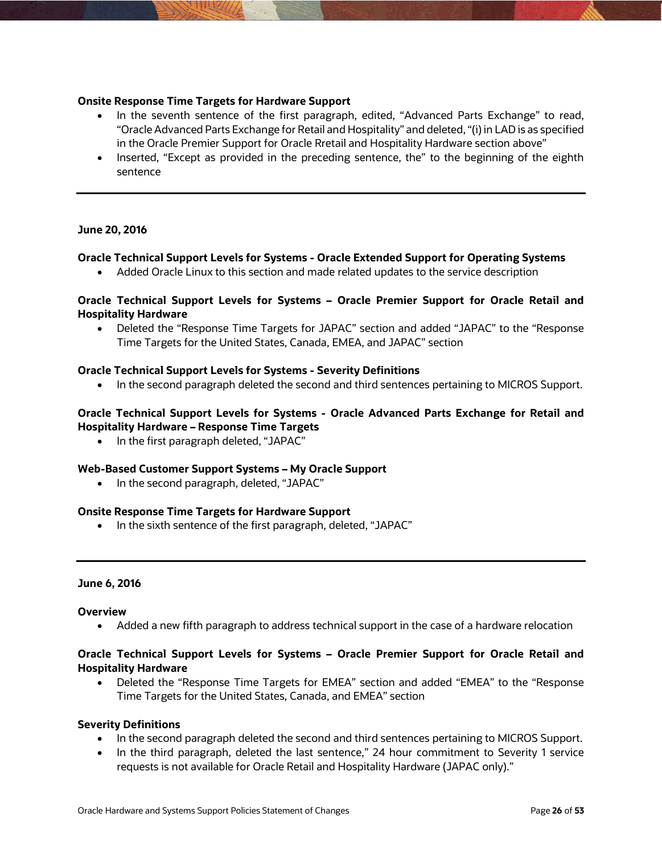### **Onsite Response Time Targets for Hardware Support**

- In the seventh sentence of the first paragraph, edited, "Advanced Parts Exchange" to read, "Oracle Advanced Parts Exchange for Retail and Hospitality" and deleted, "(i) in LAD is as specified in the Oracle Premier Support for Oracle Rretail and Hospitality Hardware section above"
- Inserted, "Except as provided in the preceding sentence, the" to the beginning of the eighth sentence

### **June 20, 2016**

### **Oracle Technical Support Levels for Systems - Oracle Extended Support for Operating Systems**

Added Oracle Linux to this section and made related updates to the service description

### **Oracle Technical Support Levels for Systems – Oracle Premier Support for Oracle Retail and Hospitality Hardware**

 Deleted the "Response Time Targets for JAPAC" section and added "JAPAC" to the "Response Time Targets for the United States, Canada, EMEA, and JAPAC" section

### **Oracle Technical Support Levels for Systems - Severity Definitions**

• In the second paragraph deleted the second and third sentences pertaining to MICROS Support.

# **Oracle Technical Support Levels for Systems - Oracle Advanced Parts Exchange for Retail and Hospitality Hardware – Response Time Targets**

• In the first paragraph deleted, "JAPAC"

### **Web-Based Customer Support Systems – My Oracle Support**

• In the second paragraph, deleted, "JAPAC"

### **Onsite Response Time Targets for Hardware Support**

• In the sixth sentence of the first paragraph, deleted, "JAPAC"

### **June 6, 2016**

### **Overview**

Added a new fifth paragraph to address technical support in the case of a hardware relocation

# **Oracle Technical Support Levels for Systems – Oracle Premier Support for Oracle Retail and Hospitality Hardware**

 Deleted the "Response Time Targets for EMEA" section and added "EMEA" to the "Response Time Targets for the United States, Canada, and EMEA" section

### **Severity Definitions**

- In the second paragraph deleted the second and third sentences pertaining to MICROS Support.
- In the third paragraph, deleted the last sentence," 24 hour commitment to Severity 1 service requests is not available for Oracle Retail and Hospitality Hardware (JAPAC only)."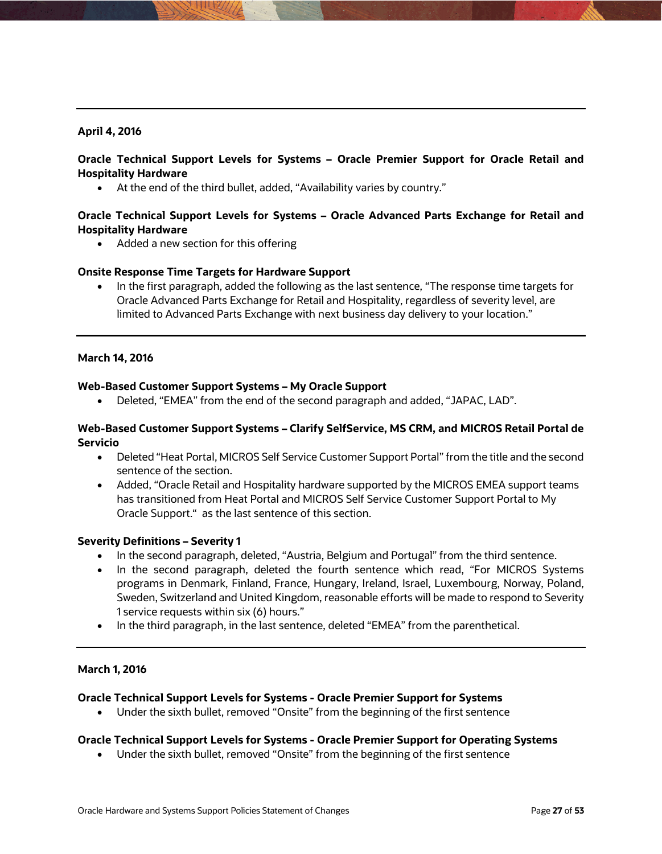# **April 4, 2016**

# **Oracle Technical Support Levels for Systems – Oracle Premier Support for Oracle Retail and Hospitality Hardware**

At the end of the third bullet, added, "Availability varies by country."

# **Oracle Technical Support Levels for Systems – Oracle Advanced Parts Exchange for Retail and Hospitality Hardware**

• Added a new section for this offering

### **Onsite Response Time Targets for Hardware Support**

• In the first paragraph, added the following as the last sentence, "The response time targets for Oracle Advanced Parts Exchange for Retail and Hospitality, regardless of severity level, are limited to Advanced Parts Exchange with next business day delivery to your location."

### **March 14, 2016**

### **Web-Based Customer Support Systems – My Oracle Support**

Deleted, "EMEA" from the end of the second paragraph and added, "JAPAC, LAD".

### **Web-Based Customer Support Systems – Clarify SelfService, MS CRM, and MICROS Retail Portal de Servicio**

- Deleted "Heat Portal, MICROS Self Service Customer Support Portal" from the title and the second sentence of the section.
- Added, "Oracle Retail and Hospitality hardware supported by the MICROS EMEA support teams has transitioned from Heat Portal and MICROS Self Service Customer Support Portal to My Oracle Support." as the last sentence of this section.

### **Severity Definitions – Severity 1**

- In the second paragraph, deleted, "Austria, Belgium and Portugal" from the third sentence.
- In the second paragraph, deleted the fourth sentence which read, "For MICROS Systems programs in Denmark, Finland, France, Hungary, Ireland, Israel, Luxembourg, Norway, Poland, Sweden, Switzerland and United Kingdom, reasonable efforts will be made to respond to Severity 1 service requests within six (6) hours."
- In the third paragraph, in the last sentence, deleted "EMEA" from the parenthetical.

### **March 1, 2016**

### **Oracle Technical Support Levels for Systems - Oracle Premier Support for Systems**

Under the sixth bullet, removed "Onsite" from the beginning of the first sentence

### **Oracle Technical Support Levels for Systems - Oracle Premier Support for Operating Systems**

Under the sixth bullet, removed "Onsite" from the beginning of the first sentence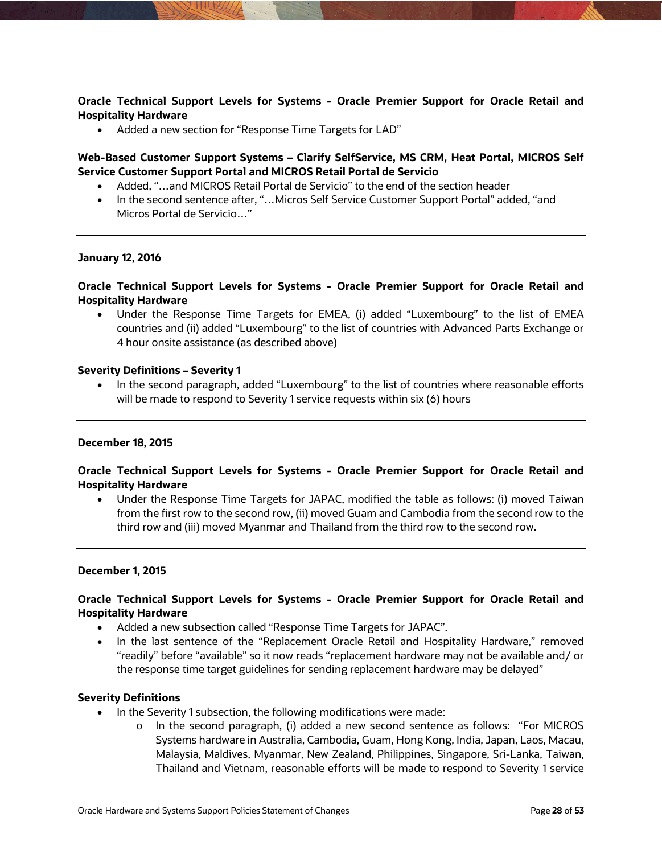**Oracle Technical Support Levels for Systems - Oracle Premier Support for Oracle Retail and Hospitality Hardware** 

Added a new section for "Response Time Targets for LAD"

**Web-Based Customer Support Systems – Clarify SelfService, MS CRM, Heat Portal, MICROS Self Service Customer Support Portal and MICROS Retail Portal de Servicio** 

- Added, "…and MICROS Retail Portal de Servicio" to the end of the section header
- In the second sentence after, "…Micros Self Service Customer Support Portal" added, "and Micros Portal de Servicio…"

#### **January 12, 2016**

### **Oracle Technical Support Levels for Systems - Oracle Premier Support for Oracle Retail and Hospitality Hardware**

 Under the Response Time Targets for EMEA, (i) added "Luxembourg" to the list of EMEA countries and (ii) added "Luxembourg" to the list of countries with Advanced Parts Exchange or 4 hour onsite assistance (as described above)

#### **Severity Definitions – Severity 1**

 In the second paragraph, added "Luxembourg" to the list of countries where reasonable efforts will be made to respond to Severity 1 service requests within six (6) hours

#### **December 18, 2015**

### **Oracle Technical Support Levels for Systems - Oracle Premier Support for Oracle Retail and Hospitality Hardware**

 Under the Response Time Targets for JAPAC, modified the table as follows: (i) moved Taiwan from the first row to the second row, (ii) moved Guam and Cambodia from the second row to the third row and (iii) moved Myanmar and Thailand from the third row to the second row.

#### **December 1, 2015**

# **Oracle Technical Support Levels for Systems - Oracle Premier Support for Oracle Retail and Hospitality Hardware**

- Added a new subsection called "Response Time Targets for JAPAC".
- In the last sentence of the "Replacement Oracle Retail and Hospitality Hardware," removed "readily" before "available" so it now reads "replacement hardware may not be available and/ or the response time target guidelines for sending replacement hardware may be delayed"

#### **Severity Definitions**

- In the Severity 1 subsection, the following modifications were made:
	- o In the second paragraph, (i) added a new second sentence as follows: "For MICROS Systems hardware in Australia, Cambodia, Guam, Hong Kong, India, Japan, Laos, Macau, Malaysia, Maldives, Myanmar, New Zealand, Philippines, Singapore, Sri-Lanka, Taiwan, Thailand and Vietnam, reasonable efforts will be made to respond to Severity 1 service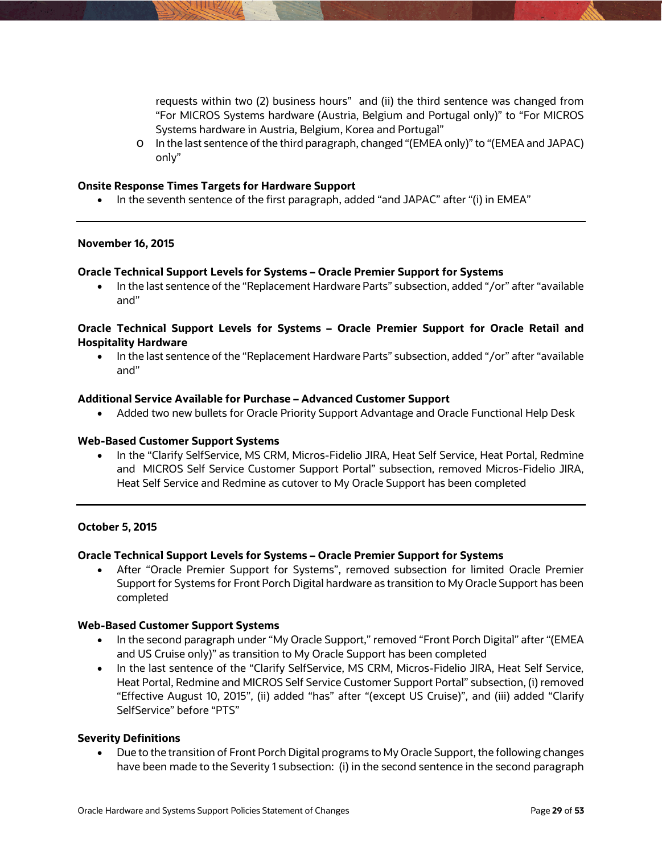requests within two (2) business hours" and (ii) the third sentence was changed from "For MICROS Systems hardware (Austria, Belgium and Portugal only)" to "For MICROS Systems hardware in Austria, Belgium, Korea and Portugal"

o In the last sentence of the third paragraph, changed "(EMEA only)" to "(EMEA and JAPAC) only"

### **Onsite Response Times Targets for Hardware Support**

• In the seventh sentence of the first paragraph, added "and JAPAC" after "(i) in EMEA"

### **November 16, 2015**

### **Oracle Technical Support Levels for Systems – Oracle Premier Support for Systems**

 In the last sentence of the "Replacement Hardware Parts" subsection, added "/or" after "available and"

# **Oracle Technical Support Levels for Systems – Oracle Premier Support for Oracle Retail and Hospitality Hardware**

• In the last sentence of the "Replacement Hardware Parts" subsection, added "/or" after "available and"

### **Additional Service Available for Purchase – Advanced Customer Support**

Added two new bullets for Oracle Priority Support Advantage and Oracle Functional Help Desk

### **Web-Based Customer Support Systems**

• In the "Clarify SelfService, MS CRM, Micros-Fidelio JIRA, Heat Self Service, Heat Portal, Redmine and MICROS Self Service Customer Support Portal" subsection, removed Micros-Fidelio JIRA, Heat Self Service and Redmine as cutover to My Oracle Support has been completed

### **October 5, 2015**

### **Oracle Technical Support Levels for Systems – Oracle Premier Support for Systems**

 After "Oracle Premier Support for Systems", removed subsection for limited Oracle Premier Support for Systems for Front Porch Digital hardware as transition to My Oracle Support has been completed

### **Web-Based Customer Support Systems**

- In the second paragraph under "My Oracle Support," removed "Front Porch Digital" after "(EMEA and US Cruise only)" as transition to My Oracle Support has been completed
- In the last sentence of the "Clarify SelfService, MS CRM, Micros-Fidelio JIRA, Heat Self Service, Heat Portal, Redmine and MICROS Self Service Customer Support Portal" subsection, (i) removed "Effective August 10, 2015", (ii) added "has" after "(except US Cruise)", and (iii) added "Clarify SelfService" before "PTS"

### **Severity Definitions**

 Due to the transition of Front Porch Digital programs to My Oracle Support, the following changes have been made to the Severity 1 subsection: (i) in the second sentence in the second paragraph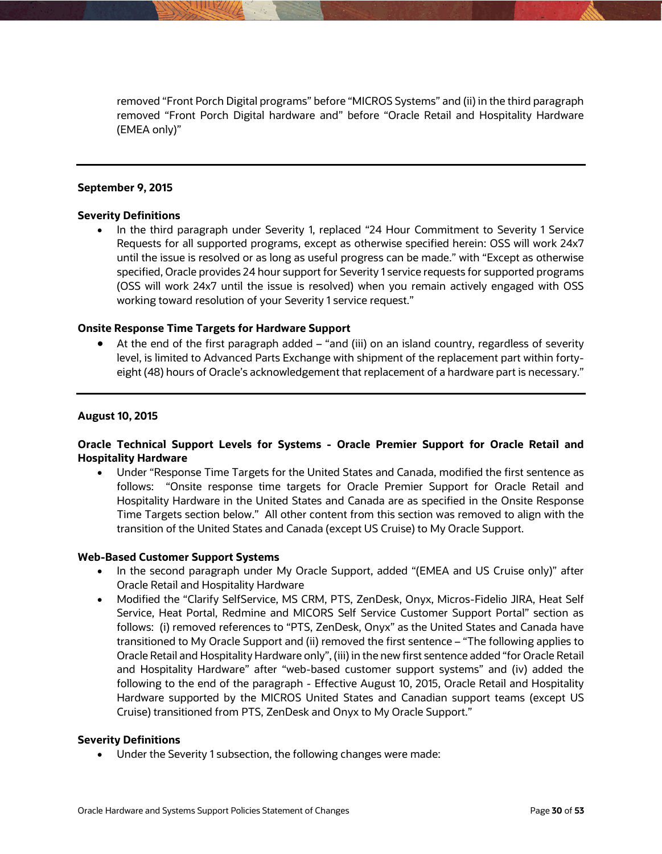removed "Front Porch Digital programs" before "MICROS Systems" and (ii) in the third paragraph removed "Front Porch Digital hardware and" before "Oracle Retail and Hospitality Hardware (EMEA only)"

### **September 9, 2015**

#### **Severity Definitions**

 In the third paragraph under Severity 1, replaced "24 Hour Commitment to Severity 1 Service Requests for all supported programs, except as otherwise specified herein: OSS will work 24x7 until the issue is resolved or as long as useful progress can be made." with "Except as otherwise specified, Oracle provides 24 hour support for Severity 1 service requests for supported programs (OSS will work 24x7 until the issue is resolved) when you remain actively engaged with OSS working toward resolution of your Severity 1 service request."

### **Onsite Response Time Targets for Hardware Support**

 At the end of the first paragraph added – "and (iii) on an island country, regardless of severity level, is limited to Advanced Parts Exchange with shipment of the replacement part within fortyeight (48) hours of Oracle's acknowledgement that replacement of a hardware part is necessary."

#### **August 10, 2015**

### **Oracle Technical Support Levels for Systems - Oracle Premier Support for Oracle Retail and Hospitality Hardware**

 Under "Response Time Targets for the United States and Canada, modified the first sentence as follows: "Onsite response time targets for Oracle Premier Support for Oracle Retail and Hospitality Hardware in the United States and Canada are as specified in the Onsite Response Time Targets section below." All other content from this section was removed to align with the transition of the United States and Canada (except US Cruise) to My Oracle Support.

#### **Web-Based Customer Support Systems**

- In the second paragraph under My Oracle Support, added "(EMEA and US Cruise only)" after Oracle Retail and Hospitality Hardware
- Modified the "Clarify SelfService, MS CRM, PTS, ZenDesk, Onyx, Micros-Fidelio JIRA, Heat Self Service, Heat Portal, Redmine and MICORS Self Service Customer Support Portal" section as follows: (i) removed references to "PTS, ZenDesk, Onyx" as the United States and Canada have transitioned to My Oracle Support and (ii) removed the first sentence – "The following applies to Oracle Retail and Hospitality Hardware only", (iii) in the new first sentence added "for Oracle Retail and Hospitality Hardware" after "web-based customer support systems" and (iv) added the following to the end of the paragraph - Effective August 10, 2015, Oracle Retail and Hospitality Hardware supported by the MICROS United States and Canadian support teams (except US Cruise) transitioned from PTS, ZenDesk and Onyx to My Oracle Support."

### **Severity Definitions**

Under the Severity 1 subsection, the following changes were made: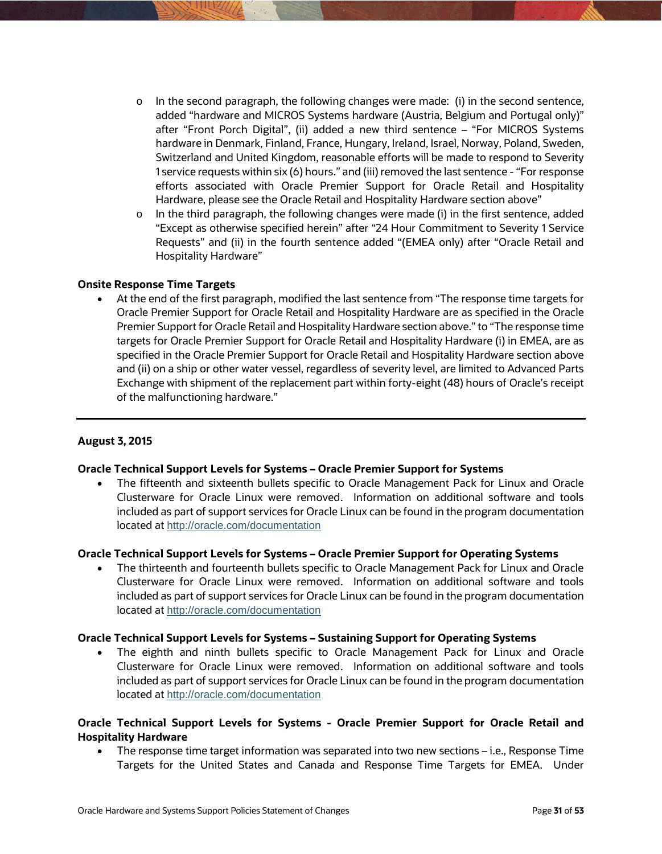- $\circ$  In the second paragraph, the following changes were made: (i) in the second sentence, added "hardware and MICROS Systems hardware (Austria, Belgium and Portugal only)" after "Front Porch Digital", (ii) added a new third sentence – "For MICROS Systems hardware in Denmark, Finland, France, Hungary, Ireland, Israel, Norway, Poland, Sweden, Switzerland and United Kingdom, reasonable efforts will be made to respond to Severity 1 service requests within six (6) hours." and (iii) removed the last sentence - "For response efforts associated with Oracle Premier Support for Oracle Retail and Hospitality Hardware, please see the Oracle Retail and Hospitality Hardware section above"
- $\circ$  In the third paragraph, the following changes were made (i) in the first sentence, added "Except as otherwise specified herein" after "24 Hour Commitment to Severity 1 Service Requests" and (ii) in the fourth sentence added "(EMEA only) after "Oracle Retail and Hospitality Hardware"

### **Onsite Response Time Targets**

 At the end of the first paragraph, modified the last sentence from "The response time targets for Oracle Premier Support for Oracle Retail and Hospitality Hardware are as specified in the Oracle Premier Support for Oracle Retail and Hospitality Hardware section above." to "The response time targets for Oracle Premier Support for Oracle Retail and Hospitality Hardware (i) in EMEA, are as specified in the Oracle Premier Support for Oracle Retail and Hospitality Hardware section above and (ii) on a ship or other water vessel, regardless of severity level, are limited to Advanced Parts Exchange with shipment of the replacement part within forty-eight (48) hours of Oracle's receipt of the malfunctioning hardware."

### **August 3, 2015**

# **Oracle Technical Support Levels for Systems – Oracle Premier Support for Systems**

 The fifteenth and sixteenth bullets specific to Oracle Management Pack for Linux and Oracle Clusterware for Oracle Linux were removed. Information on additional software and tools included as part of support services for Oracle Linux can be found in the program documentation located at <http://oracle.com/documentation>

### **Oracle Technical Support Levels for Systems – Oracle Premier Support for Operating Systems**

 The thirteenth and fourteenth bullets specific to Oracle Management Pack for Linux and Oracle Clusterware for Oracle Linux were removed. Information on additional software and tools included as part of support services for Oracle Linux can be found in the program documentation located at <http://oracle.com/documentation>

### **Oracle Technical Support Levels for Systems – Sustaining Support for Operating Systems**

 The eighth and ninth bullets specific to Oracle Management Pack for Linux and Oracle Clusterware for Oracle Linux were removed. Information on additional software and tools included as part of support services for Oracle Linux can be found in the program documentation located at <http://oracle.com/documentation>

# **Oracle Technical Support Levels for Systems - Oracle Premier Support for Oracle Retail and Hospitality Hardware**

 The response time target information was separated into two new sections – i.e., Response Time Targets for the United States and Canada and Response Time Targets for EMEA. Under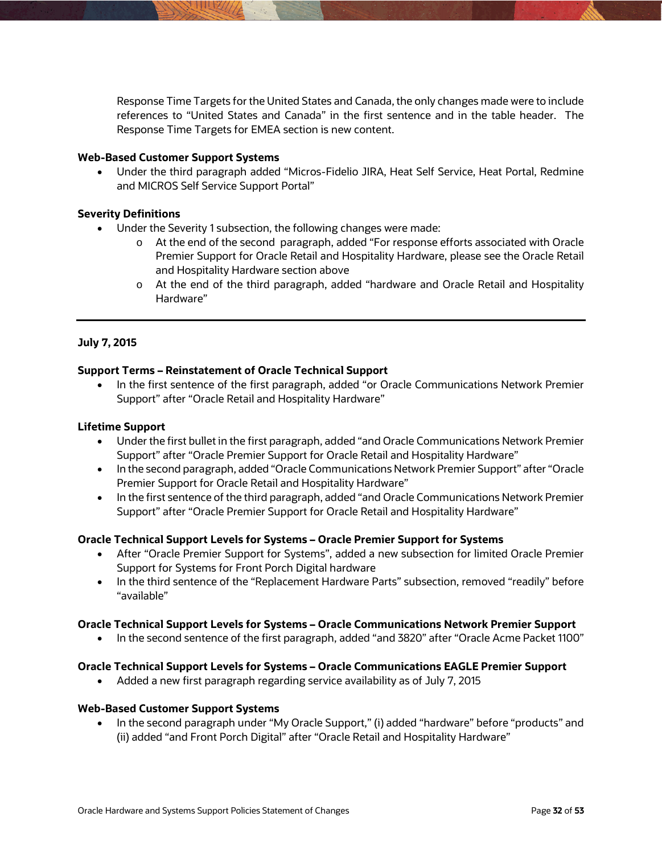Response Time Targets for the United States and Canada, the only changes made were to include references to "United States and Canada" in the first sentence and in the table header. The Response Time Targets for EMEA section is new content.

### **Web-Based Customer Support Systems**

 Under the third paragraph added "Micros-Fidelio JIRA, Heat Self Service, Heat Portal, Redmine and MICROS Self Service Support Portal"

### **Severity Definitions**

- Under the Severity 1 subsection, the following changes were made:
	- o At the end of the second paragraph, added "For response efforts associated with Oracle Premier Support for Oracle Retail and Hospitality Hardware, please see the Oracle Retail and Hospitality Hardware section above
	- o At the end of the third paragraph, added "hardware and Oracle Retail and Hospitality Hardware"

### **July 7, 2015**

### **Support Terms – Reinstatement of Oracle Technical Support**

 In the first sentence of the first paragraph, added "or Oracle Communications Network Premier Support" after "Oracle Retail and Hospitality Hardware"

### **Lifetime Support**

- Under the first bullet in the first paragraph, added "and Oracle Communications Network Premier Support" after "Oracle Premier Support for Oracle Retail and Hospitality Hardware"
- In the second paragraph, added "Oracle Communications Network Premier Support" after "Oracle Premier Support for Oracle Retail and Hospitality Hardware"
- In the first sentence of the third paragraph, added "and Oracle Communications Network Premier Support" after "Oracle Premier Support for Oracle Retail and Hospitality Hardware"

### **Oracle Technical Support Levels for Systems – Oracle Premier Support for Systems**

- After "Oracle Premier Support for Systems", added a new subsection for limited Oracle Premier Support for Systems for Front Porch Digital hardware
- In the third sentence of the "Replacement Hardware Parts" subsection, removed "readily" before "available"

### **Oracle Technical Support Levels for Systems – Oracle Communications Network Premier Support**

• In the second sentence of the first paragraph, added "and 3820" after "Oracle Acme Packet 1100"

# **Oracle Technical Support Levels for Systems – Oracle Communications EAGLE Premier Support**

Added a new first paragraph regarding service availability as of July 7, 2015

### **Web-Based Customer Support Systems**

• In the second paragraph under "My Oracle Support," (i) added "hardware" before "products" and (ii) added "and Front Porch Digital" after "Oracle Retail and Hospitality Hardware"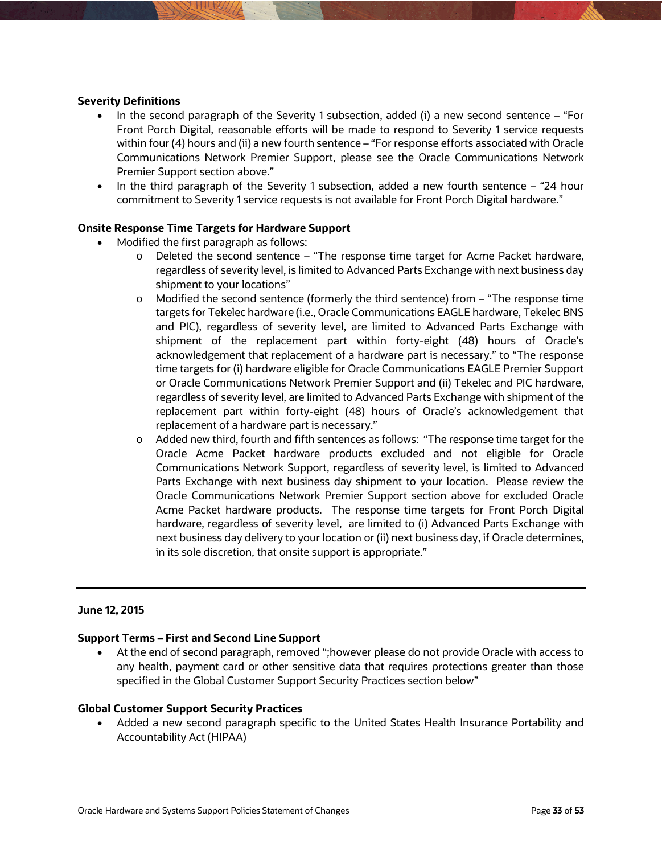### **Severity Definitions**

- In the second paragraph of the Severity 1 subsection, added (i) a new second sentence  $-$  "For Front Porch Digital, reasonable efforts will be made to respond to Severity 1 service requests within four (4) hours and (ii) a new fourth sentence – "For response efforts associated with Oracle Communications Network Premier Support, please see the Oracle Communications Network Premier Support section above."
- In the third paragraph of the Severity 1 subsection, added a new fourth sentence "24 hour commitment to Severity 1 service requests is not available for Front Porch Digital hardware."

### **Onsite Response Time Targets for Hardware Support**

- Modified the first paragraph as follows:
	- $\circ$  Deleted the second sentence "The response time target for Acme Packet hardware, regardless of severity level, is limited to Advanced Parts Exchange with next business day shipment to your locations"
	- $\circ$  Modified the second sentence (formerly the third sentence) from  $-$  "The response time targets for Tekelec hardware (i.e., Oracle Communications EAGLE hardware, Tekelec BNS and PIC), regardless of severity level, are limited to Advanced Parts Exchange with shipment of the replacement part within forty-eight (48) hours of Oracle's acknowledgement that replacement of a hardware part is necessary." to "The response time targets for (i) hardware eligible for Oracle Communications EAGLE Premier Support or Oracle Communications Network Premier Support and (ii) Tekelec and PIC hardware, regardless of severity level, are limited to Advanced Parts Exchange with shipment of the replacement part within forty-eight (48) hours of Oracle's acknowledgement that replacement of a hardware part is necessary."
	- o Added new third, fourth and fifth sentences as follows: "The response time target for the Oracle Acme Packet hardware products excluded and not eligible for Oracle Communications Network Support, regardless of severity level, is limited to Advanced Parts Exchange with next business day shipment to your location. Please review the Oracle Communications Network Premier Support section above for excluded Oracle Acme Packet hardware products. The response time targets for Front Porch Digital hardware, regardless of severity level, are limited to (i) Advanced Parts Exchange with next business day delivery to your location or (ii) next business day, if Oracle determines, in its sole discretion, that onsite support is appropriate."

### **June 12, 2015**

### **Support Terms – First and Second Line Support**

 At the end of second paragraph, removed ";however please do not provide Oracle with access to any health, payment card or other sensitive data that requires protections greater than those specified in the Global Customer Support Security Practices section below"

### **Global Customer Support Security Practices**

 Added a new second paragraph specific to the United States Health Insurance Portability and Accountability Act (HIPAA)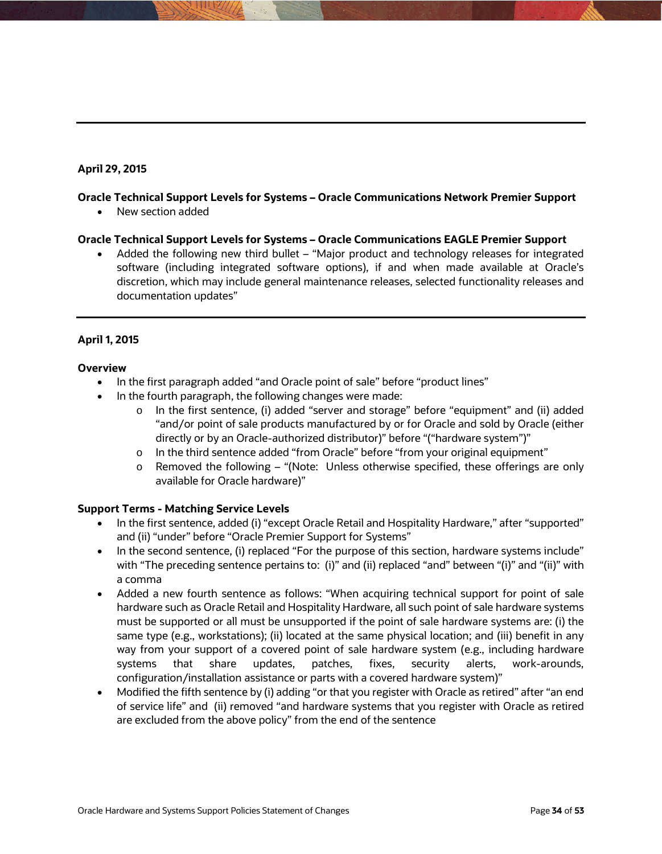# **April 29, 2015**

### **Oracle Technical Support Levels for Systems – Oracle Communications Network Premier Support**

• New section added

### **Oracle Technical Support Levels for Systems – Oracle Communications EAGLE Premier Support**

 Added the following new third bullet – "Major product and technology releases for integrated software (including integrated software options), if and when made available at Oracle's discretion, which may include general maintenance releases, selected functionality releases and documentation updates"

# **April 1, 2015**

### **Overview**

- In the first paragraph added "and Oracle point of sale" before "product lines"
- In the fourth paragraph, the following changes were made:
	- o In the first sentence, (i) added "server and storage" before "equipment" and (ii) added "and/or point of sale products manufactured by or for Oracle and sold by Oracle (either directly or by an Oracle-authorized distributor)" before "("hardware system")"
	- o In the third sentence added "from Oracle" before "from your original equipment"
	- $\circ$  Removed the following "(Note: Unless otherwise specified, these offerings are only available for Oracle hardware)"

### **Support Terms - Matching Service Levels**

- In the first sentence, added (i) "except Oracle Retail and Hospitality Hardware," after "supported" and (ii) "under" before "Oracle Premier Support for Systems"
- In the second sentence, (i) replaced "For the purpose of this section, hardware systems include" with "The preceding sentence pertains to: (i)" and (ii) replaced "and" between "(i)" and "(ii)" with a comma
- Added a new fourth sentence as follows: "When acquiring technical support for point of sale hardware such as Oracle Retail and Hospitality Hardware, all such point of sale hardware systems must be supported or all must be unsupported if the point of sale hardware systems are: (i) the same type (e.g., workstations); (ii) located at the same physical location; and (iii) benefit in any way from your support of a covered point of sale hardware system (e.g., including hardware systems that share updates, patches, fixes, security alerts, work-arounds, configuration/installation assistance or parts with a covered hardware system)"
- Modified the fifth sentence by (i) adding "or that you register with Oracle as retired" after "an end of service life" and (ii) removed "and hardware systems that you register with Oracle as retired are excluded from the above policy" from the end of the sentence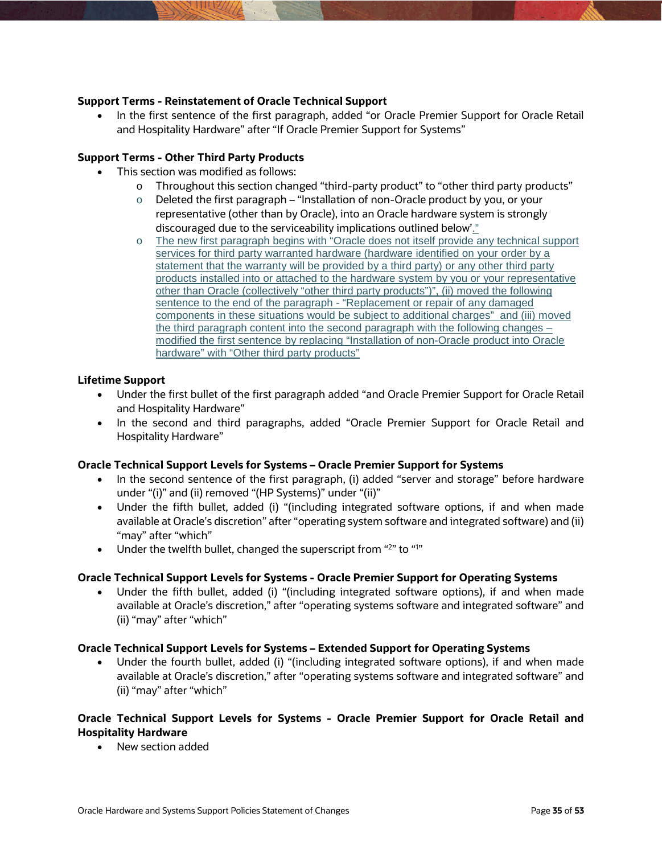# **Support Terms - Reinstatement of Oracle Technical Support**

• In the first sentence of the first paragraph, added "or Oracle Premier Support for Oracle Retail and Hospitality Hardware" after "If Oracle Premier Support for Systems"

# **Support Terms - Other Third Party Products**

- This section was modified as follows:
	- o Throughout this section changed "third-party product" to "other third party products"
	- $\circ$  Deleted the first paragraph "Installation of non-Oracle product by you, or your representative (other than by Oracle), into an Oracle hardware system is strongly discouraged due to the serviceability implications outlined below'."
	- o The new first paragraph begins with "Oracle does not itself provide any technical support services for third party warranted hardware (hardware identified on your order by a statement that the warranty will be provided by a third party) or any other third party products installed into or attached to the hardware system by you or your representative other than Oracle (collectively "other third party products")", (ii) moved the following sentence to the end of the paragraph - "Replacement or repair of any damaged components in these situations would be subject to additional charges" and (iii) moved the third paragraph content into the second paragraph with the following changes – modified the first sentence by replacing "Installation of non-Oracle product into Oracle hardware" with "Other third party products"

### **Lifetime Support**

- Under the first bullet of the first paragraph added "and Oracle Premier Support for Oracle Retail and Hospitality Hardware"
- In the second and third paragraphs, added "Oracle Premier Support for Oracle Retail and Hospitality Hardware"

### **Oracle Technical Support Levels for Systems – Oracle Premier Support for Systems**

- In the second sentence of the first paragraph, (i) added "server and storage" before hardware under "(i)" and (ii) removed "(HP Systems)" under "(ii)"
- Under the fifth bullet, added (i) "(including integrated software options, if and when made available at Oracle's discretion" after "operating system software and integrated software) and (ii) "may" after "which"
- Under the twelfth bullet, changed the superscript from "2" to "1"

### **Oracle Technical Support Levels for Systems - Oracle Premier Support for Operating Systems**

 Under the fifth bullet, added (i) "(including integrated software options), if and when made available at Oracle's discretion," after "operating systems software and integrated software" and (ii) "may" after "which"

### **Oracle Technical Support Levels for Systems – Extended Support for Operating Systems**

 Under the fourth bullet, added (i) "(including integrated software options), if and when made available at Oracle's discretion," after "operating systems software and integrated software" and (ii) "may" after "which"

# **Oracle Technical Support Levels for Systems - Oracle Premier Support for Oracle Retail and Hospitality Hardware**

New section added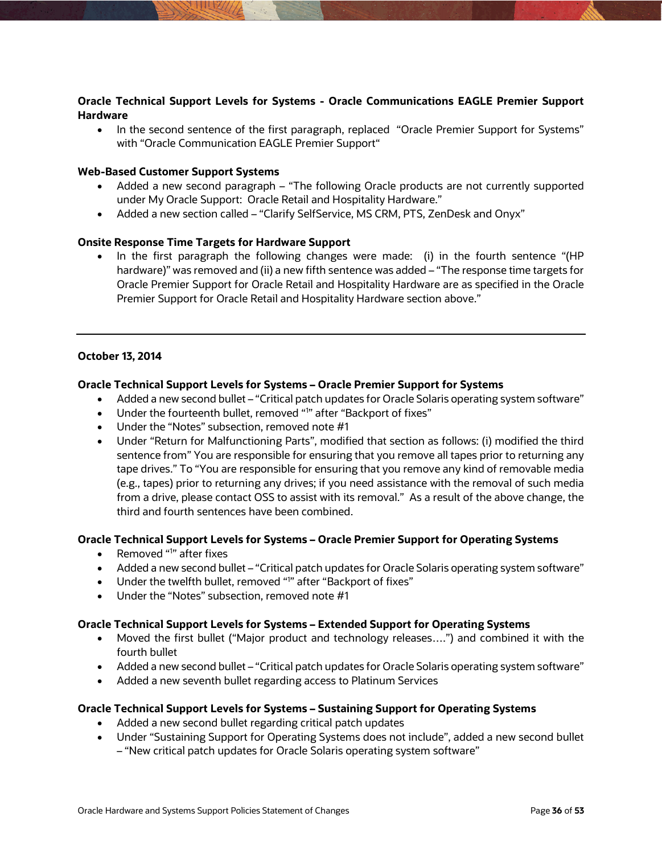# **Oracle Technical Support Levels for Systems - Oracle Communications EAGLE Premier Support Hardware**

• In the second sentence of the first paragraph, replaced "Oracle Premier Support for Systems" with "Oracle Communication EAGLE Premier Support"

### **Web-Based Customer Support Systems**

- Added a new second paragraph "The following Oracle products are not currently supported under My Oracle Support: Oracle Retail and Hospitality Hardware."
- Added a new section called "Clarify SelfService, MS CRM, PTS, ZenDesk and Onyx"

### **Onsite Response Time Targets for Hardware Support**

• In the first paragraph the following changes were made: (i) in the fourth sentence "(HP hardware)" was removed and (ii) a new fifth sentence was added – "The response time targets for Oracle Premier Support for Oracle Retail and Hospitality Hardware are as specified in the Oracle Premier Support for Oracle Retail and Hospitality Hardware section above."

### **October 13, 2014**

### **Oracle Technical Support Levels for Systems – Oracle Premier Support for Systems**

- Added a new second bullet "Critical patch updates for Oracle Solaris operating system software"
- Under the fourteenth bullet, removed "1" after "Backport of fixes"
- Under the "Notes" subsection, removed note #1
- Under "Return for Malfunctioning Parts", modified that section as follows: (i) modified the third sentence from" You are responsible for ensuring that you remove all tapes prior to returning any tape drives." To "You are responsible for ensuring that you remove any kind of removable media (e.g., tapes) prior to returning any drives; if you need assistance with the removal of such media from a drive, please contact OSS to assist with its removal." As a result of the above change, the third and fourth sentences have been combined.

### **Oracle Technical Support Levels for Systems – Oracle Premier Support for Operating Systems**

- Removed "<sup>1</sup>" after fixes
- Added a new second bullet "Critical patch updates for Oracle Solaris operating system software"
- Under the twelfth bullet, removed "<sup>1</sup>" after "Backport of fixes"
- Under the "Notes" subsection, removed note #1

### **Oracle Technical Support Levels for Systems – Extended Support for Operating Systems**

- Moved the first bullet ("Major product and technology releases….") and combined it with the fourth bullet
- Added a new second bullet "Critical patch updates for Oracle Solaris operating system software"
- Added a new seventh bullet regarding access to Platinum Services

### **Oracle Technical Support Levels for Systems – Sustaining Support for Operating Systems**

- Added a new second bullet regarding critical patch updates
- Under "Sustaining Support for Operating Systems does not include", added a new second bullet – "New critical patch updates for Oracle Solaris operating system software"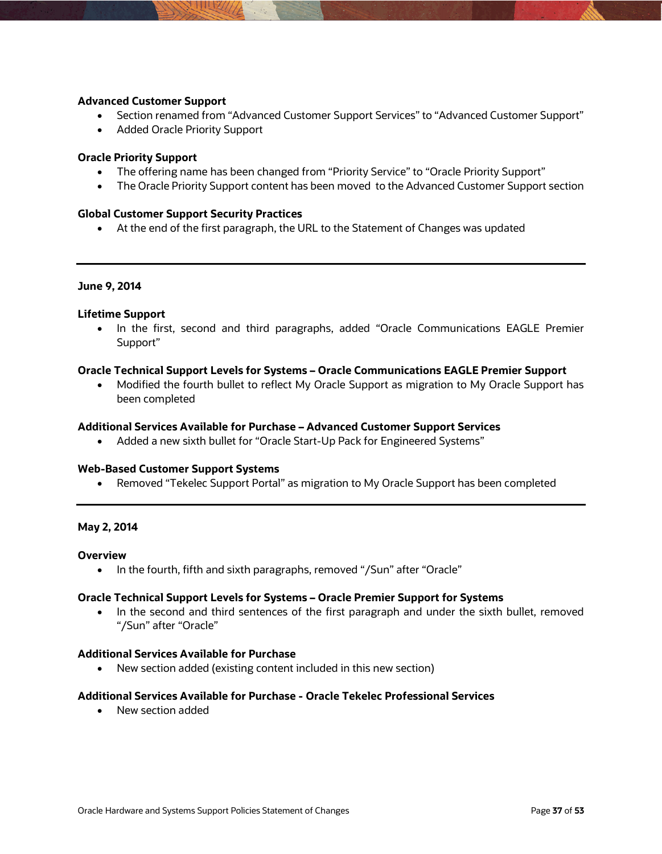### **Advanced Customer Support**

- Section renamed from "Advanced Customer Support Services" to "Advanced Customer Support"
- Added Oracle Priority Support

### **Oracle Priority Support**

- The offering name has been changed from "Priority Service" to "Oracle Priority Support"
- The Oracle Priority Support content has been moved to the Advanced Customer Support section

### **Global Customer Support Security Practices**

At the end of the first paragraph, the URL to the Statement of Changes was updated

### **June 9, 2014**

### **Lifetime Support**

 In the first, second and third paragraphs, added "Oracle Communications EAGLE Premier Support"

### **Oracle Technical Support Levels for Systems – Oracle Communications EAGLE Premier Support**

• Modified the fourth bullet to reflect My Oracle Support as migration to My Oracle Support has been completed

#### **Additional Services Available for Purchase – Advanced Customer Support Services**

• Added a new sixth bullet for "Oracle Start-Up Pack for Engineered Systems"

### **Web-Based Customer Support Systems**

Removed "Tekelec Support Portal" as migration to My Oracle Support has been completed

### **May 2, 2014**

### **Overview**

• In the fourth, fifth and sixth paragraphs, removed "/Sun" after "Oracle"

### **Oracle Technical Support Levels for Systems – Oracle Premier Support for Systems**

• In the second and third sentences of the first paragraph and under the sixth bullet, removed "/Sun" after "Oracle"

### **Additional Services Available for Purchase**

New section added (existing content included in this new section)

### **Additional Services Available for Purchase - Oracle Tekelec Professional Services**

New section added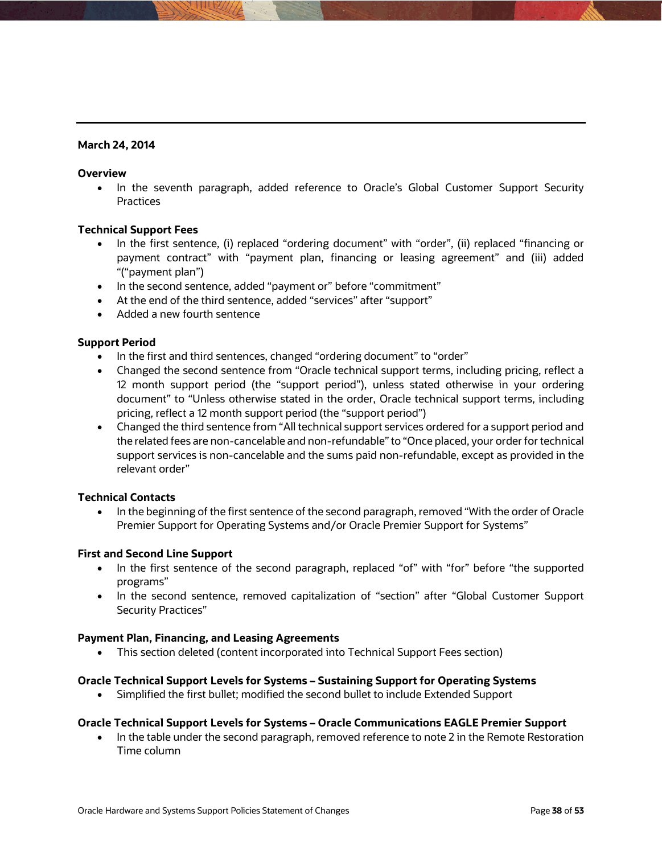# **March 24, 2014**

### **Overview**

• In the seventh paragraph, added reference to Oracle's Global Customer Support Security **Practices** 

# **Technical Support Fees**

- In the first sentence, (i) replaced "ordering document" with "order", (ii) replaced "financing or payment contract" with "payment plan, financing or leasing agreement" and (iii) added "("payment plan")
- In the second sentence, added "payment or" before "commitment"
- At the end of the third sentence, added "services" after "support"
- Added a new fourth sentence

### **Support Period**

- In the first and third sentences, changed "ordering document" to "order"
- Changed the second sentence from "Oracle technical support terms, including pricing, reflect a 12 month support period (the "support period"), unless stated otherwise in your ordering document" to "Unless otherwise stated in the order, Oracle technical support terms, including pricing, reflect a 12 month support period (the "support period")
- Changed the third sentence from "All technical support services ordered for a support period and the related fees are non-cancelable and non-refundable" to "Once placed, your order for technical support services is non-cancelable and the sums paid non-refundable, except as provided in the relevant order"

### **Technical Contacts**

 In the beginning of the first sentence of the second paragraph, removed "With the order of Oracle Premier Support for Operating Systems and/or Oracle Premier Support for Systems"

### **First and Second Line Support**

- In the first sentence of the second paragraph, replaced "of" with "for" before "the supported programs"
- In the second sentence, removed capitalization of "section" after "Global Customer Support Security Practices"

### **Payment Plan, Financing, and Leasing Agreements**

This section deleted (content incorporated into Technical Support Fees section)

### **Oracle Technical Support Levels for Systems – Sustaining Support for Operating Systems**

Simplified the first bullet; modified the second bullet to include Extended Support

# **Oracle Technical Support Levels for Systems – Oracle Communications EAGLE Premier Support**

• In the table under the second paragraph, removed reference to note 2 in the Remote Restoration Time column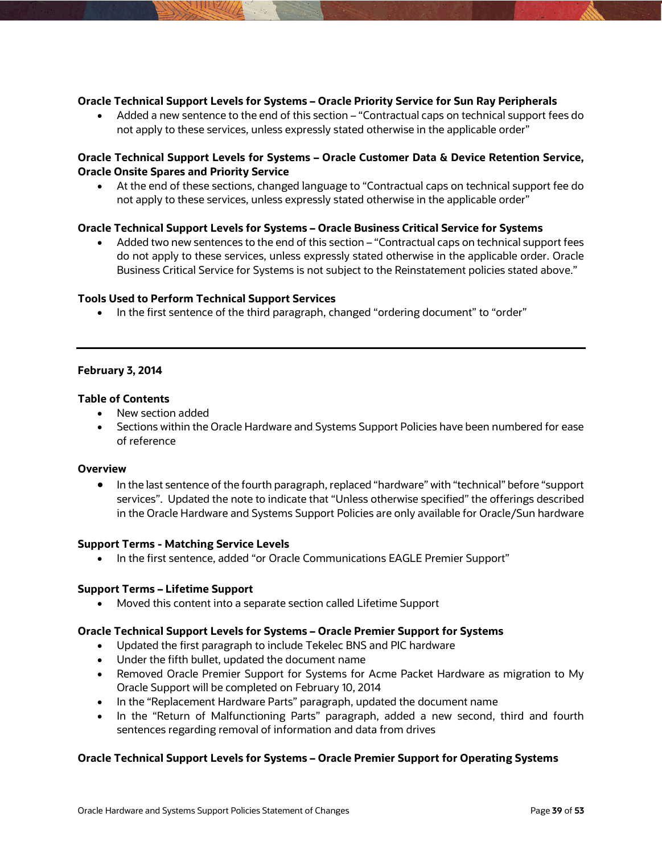### **Oracle Technical Support Levels for Systems – Oracle Priority Service for Sun Ray Peripherals**

 Added a new sentence to the end of this section – "Contractual caps on technical support fees do not apply to these services, unless expressly stated otherwise in the applicable order"

# **Oracle Technical Support Levels for Systems – Oracle Customer Data & Device Retention Service, Oracle Onsite Spares and Priority Service**

 At the end of these sections, changed language to "Contractual caps on technical support fee do not apply to these services, unless expressly stated otherwise in the applicable order"

### **Oracle Technical Support Levels for Systems – Oracle Business Critical Service for Systems**

 Added two new sentences to the end of this section – "Contractual caps on technical support fees do not apply to these services, unless expressly stated otherwise in the applicable order. Oracle Business Critical Service for Systems is not subject to the Reinstatement policies stated above."

### **Tools Used to Perform Technical Support Services**

• In the first sentence of the third paragraph, changed "ordering document" to "order"

### **February 3, 2014**

### **Table of Contents**

- New section added
- Sections within the Oracle Hardware and Systems Support Policies have been numbered for ease of reference

### **Overview**

• In the last sentence of the fourth paragraph, replaced "hardware" with "technical" before "support services". Updated the note to indicate that "Unless otherwise specified" the offerings described in the Oracle Hardware and Systems Support Policies are only available for Oracle/Sun hardware

### **Support Terms - Matching Service Levels**

• In the first sentence, added "or Oracle Communications EAGLE Premier Support"

### **Support Terms – Lifetime Support**

Moved this content into a separate section called Lifetime Support

#### **Oracle Technical Support Levels for Systems – Oracle Premier Support for Systems**

- Updated the first paragraph to include Tekelec BNS and PIC hardware
- Under the fifth bullet, updated the document name
- Removed Oracle Premier Support for Systems for Acme Packet Hardware as migration to My Oracle Support will be completed on February 10, 2014
- In the "Replacement Hardware Parts" paragraph, updated the document name
- In the "Return of Malfunctioning Parts" paragraph, added a new second, third and fourth sentences regarding removal of information and data from drives

### **Oracle Technical Support Levels for Systems – Oracle Premier Support for Operating Systems**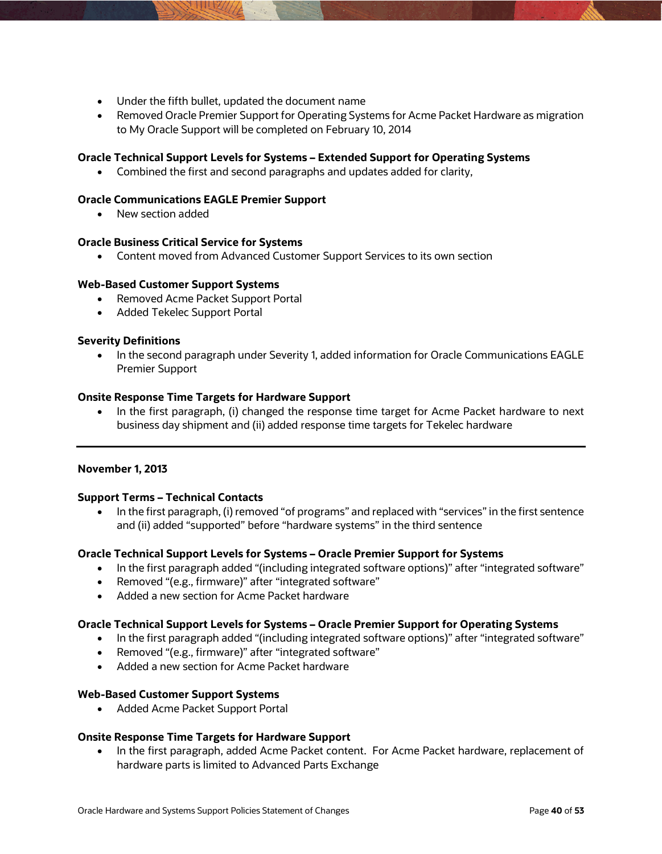- Under the fifth bullet, updated the document name
- Removed Oracle Premier Support for Operating Systems for Acme Packet Hardware as migration to My Oracle Support will be completed on February 10, 2014

# **Oracle Technical Support Levels for Systems – Extended Support for Operating Systems**

Combined the first and second paragraphs and updates added for clarity,

### **Oracle Communications EAGLE Premier Support**

• New section added

# **Oracle Business Critical Service for Systems**

Content moved from Advanced Customer Support Services to its own section

### **Web-Based Customer Support Systems**

- Removed Acme Packet Support Portal
- Added Tekelec Support Portal

### **Severity Definitions**

• In the second paragraph under Severity 1, added information for Oracle Communications EAGLE Premier Support

### **Onsite Response Time Targets for Hardware Support**

• In the first paragraph, (i) changed the response time target for Acme Packet hardware to next business day shipment and (ii) added response time targets for Tekelec hardware

### **November 1, 2013**

### **Support Terms – Technical Contacts**

 In the first paragraph, (i) removed "of programs" and replaced with "services" in the first sentence and (ii) added "supported" before "hardware systems" in the third sentence

### **Oracle Technical Support Levels for Systems – Oracle Premier Support for Systems**

- In the first paragraph added "(including integrated software options)" after "integrated software"
- Removed "(e.g., firmware)" after "integrated software"
- Added a new section for Acme Packet hardware

### **Oracle Technical Support Levels for Systems – Oracle Premier Support for Operating Systems**

- In the first paragraph added "(including integrated software options)" after "integrated software"
- Removed "(e.g., firmware)" after "integrated software"
- Added a new section for Acme Packet hardware

### **Web-Based Customer Support Systems**

Added Acme Packet Support Portal

# **Onsite Response Time Targets for Hardware Support**

• In the first paragraph, added Acme Packet content. For Acme Packet hardware, replacement of hardware parts is limited to Advanced Parts Exchange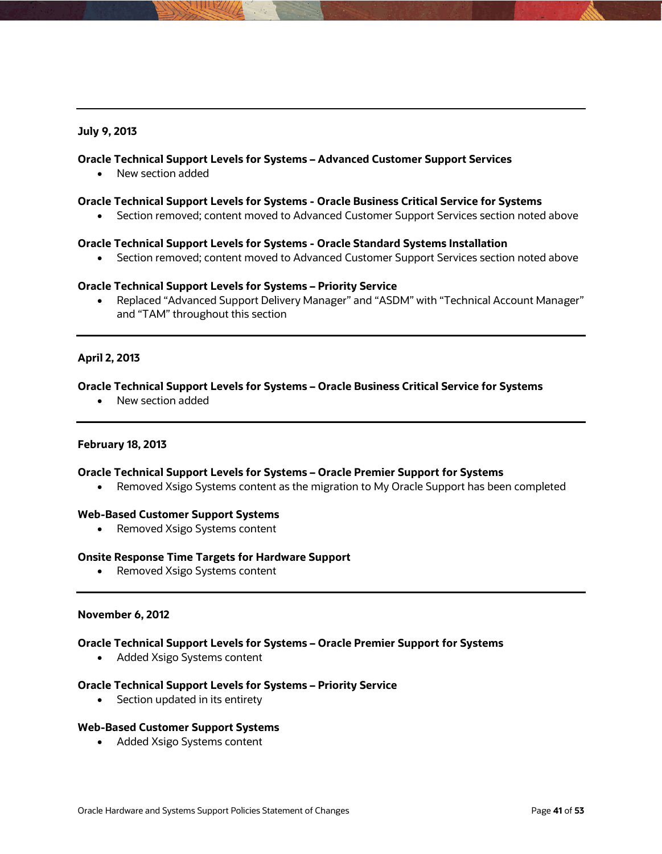### **July 9, 2013**

### **Oracle Technical Support Levels for Systems – Advanced Customer Support Services**

New section added

#### **Oracle Technical Support Levels for Systems - Oracle Business Critical Service for Systems**

Section removed; content moved to Advanced Customer Support Services section noted above

#### **Oracle Technical Support Levels for Systems - Oracle Standard Systems Installation**

• Section removed; content moved to Advanced Customer Support Services section noted above

### **Oracle Technical Support Levels for Systems – Priority Service**

 Replaced "Advanced Support Delivery Manager" and "ASDM" with "Technical Account Manager" and "TAM" throughout this section

### **April 2, 2013**

#### **Oracle Technical Support Levels for Systems – Oracle Business Critical Service for Systems**

New section added

#### **February 18, 2013**

#### **Oracle Technical Support Levels for Systems – Oracle Premier Support for Systems**

• Removed Xsigo Systems content as the migration to My Oracle Support has been completed

#### **Web-Based Customer Support Systems**

• Removed Xsigo Systems content

#### **Onsite Response Time Targets for Hardware Support**

• Removed Xsigo Systems content

#### **November 6, 2012**

#### **Oracle Technical Support Levels for Systems – Oracle Premier Support for Systems**

• Added Xsigo Systems content

#### **Oracle Technical Support Levels for Systems – Priority Service**

• Section updated in its entirety

#### **Web-Based Customer Support Systems**

• Added Xsigo Systems content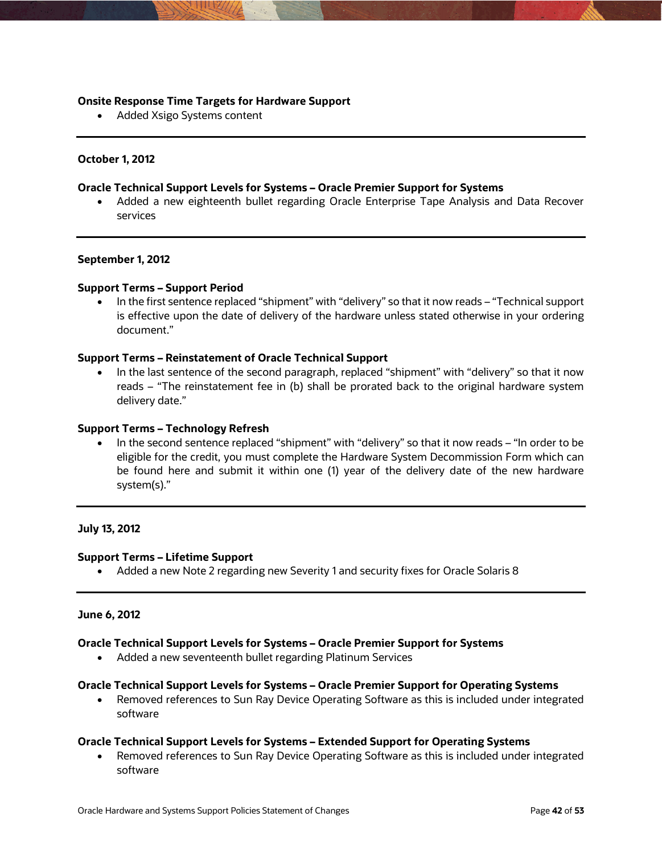### **Onsite Response Time Targets for Hardware Support**

• Added Xsigo Systems content

### **October 1, 2012**

### **Oracle Technical Support Levels for Systems – Oracle Premier Support for Systems**

 Added a new eighteenth bullet regarding Oracle Enterprise Tape Analysis and Data Recover services

### **September 1, 2012**

### **Support Terms – Support Period**

 In the first sentence replaced "shipment" with "delivery" so that it now reads – "Technical support is effective upon the date of delivery of the hardware unless stated otherwise in your ordering document."

### **Support Terms – Reinstatement of Oracle Technical Support**

 In the last sentence of the second paragraph, replaced "shipment" with "delivery" so that it now reads – "The reinstatement fee in (b) shall be prorated back to the original hardware system delivery date."

### **Support Terms – Technology Refresh**

 In the second sentence replaced "shipment" with "delivery" so that it now reads – "In order to be eligible for the credit, you must complete the Hardware System Decommission Form which can be found here and submit it within one (1) year of the delivery date of the new hardware system(s)."

### **July 13, 2012**

### **Support Terms – Lifetime Support**

Added a new Note 2 regarding new Severity 1 and security fixes for Oracle Solaris 8

### **June 6, 2012**

### **Oracle Technical Support Levels for Systems – Oracle Premier Support for Systems**

Added a new seventeenth bullet regarding Platinum Services

### **Oracle Technical Support Levels for Systems – Oracle Premier Support for Operating Systems**

• Removed references to Sun Ray Device Operating Software as this is included under integrated software

### **Oracle Technical Support Levels for Systems – Extended Support for Operating Systems**

• Removed references to Sun Ray Device Operating Software as this is included under integrated software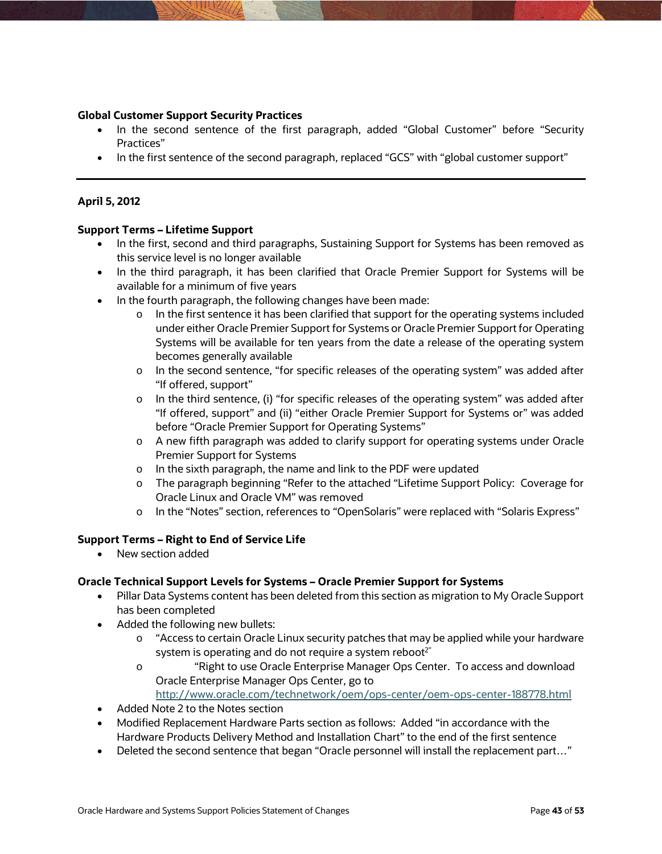### **Global Customer Support Security Practices**

- In the second sentence of the first paragraph, added "Global Customer" before "Security Practices"
- In the first sentence of the second paragraph, replaced "GCS" with "global customer support"

### **April 5, 2012**

### **Support Terms – Lifetime Support**

- In the first, second and third paragraphs, Sustaining Support for Systems has been removed as this service level is no longer available
- In the third paragraph, it has been clarified that Oracle Premier Support for Systems will be available for a minimum of five years
- In the fourth paragraph, the following changes have been made:
	- $\circ$  In the first sentence it has been clarified that support for the operating systems included under either Oracle Premier Support for Systems or Oracle Premier Support for Operating Systems will be available for ten years from the date a release of the operating system becomes generally available
	- o In the second sentence, "for specific releases of the operating system" was added after "If offered, support"
	- $\circ$  In the third sentence, (i) "for specific releases of the operating system" was added after "If offered, support" and (ii) "either Oracle Premier Support for Systems or" was added before "Oracle Premier Support for Operating Systems"
	- o A new fifth paragraph was added to clarify support for operating systems under Oracle Premier Support for Systems
	- o In the sixth paragraph, the name and link to the PDF were updated
	- o The paragraph beginning "Refer to the attached "Lifetime Support Policy: Coverage for Oracle Linux and Oracle VM" was removed
	- o In the "Notes" section, references to "OpenSolaris" were replaced with "Solaris Express"

### **Support Terms – Right to End of Service Life**

• New section added

### **Oracle Technical Support Levels for Systems – Oracle Premier Support for Systems**

- Pillar Data Systems content has been deleted from this section as migration to My Oracle Support has been completed
- Added the following new bullets:
	- o "Access to certain Oracle Linux security patches that may be applied while your hardware system is operating and do not require a system reboot $2^r$
	- o "Right to use Oracle Enterprise Manager Ops Center. To access and download Oracle Enterprise Manager Ops Center, go to
	- <http://www.oracle.com/technetwork/oem/ops-center/oem-ops-center-188778.html>
- Added Note 2 to the Notes section
- Modified Replacement Hardware Parts section as follows: Added "in accordance with the Hardware Products Delivery Method and Installation Chart" to the end of the first sentence
- Deleted the second sentence that began "Oracle personnel will install the replacement part..."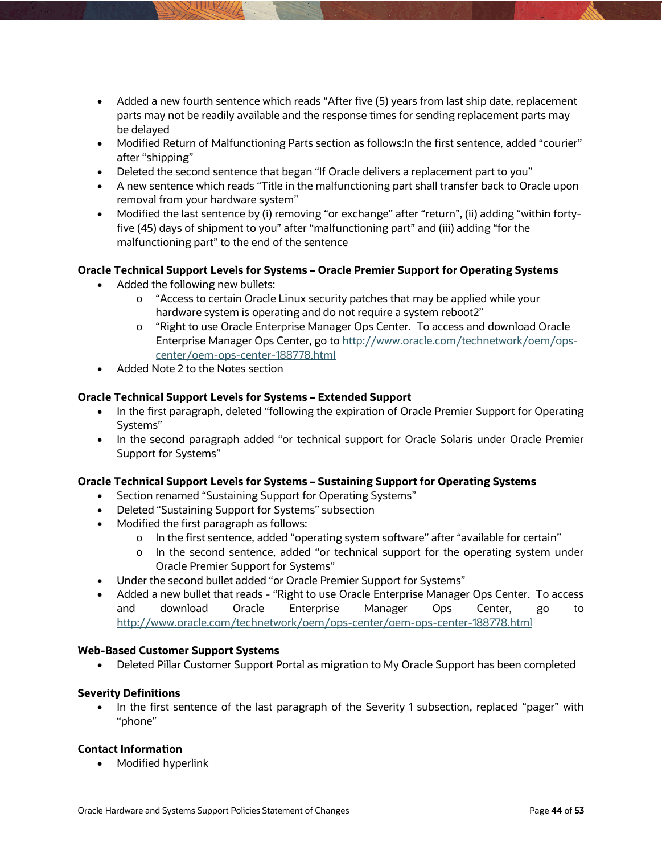- Added a new fourth sentence which reads "After five (5) years from last ship date, replacement parts may not be readily available and the response times for sending replacement parts may be delayed
- Modified Return of Malfunctioning Parts section as follows:In the first sentence, added "courier" after "shipping"
- Deleted the second sentence that began "If Oracle delivers a replacement part to you"
- A new sentence which reads "Title in the malfunctioning part shall transfer back to Oracle upon removal from your hardware system"
- Modified the last sentence by (i) removing "or exchange" after "return", (ii) adding "within fortyfive (45) days of shipment to you" after "malfunctioning part" and (iii) adding "for the malfunctioning part" to the end of the sentence

# **Oracle Technical Support Levels for Systems – Oracle Premier Support for Operating Systems**

- Added the following new bullets:
	- o "Access to certain Oracle Linux security patches that may be applied while your hardware system is operating and do not require a system reboot2"
	- o "Right to use Oracle Enterprise Manager Ops Center. To access and download Oracle Enterprise Manager Ops Center, go t[o http://www.oracle.com/technetwork/oem/ops](http://www.oracle.com/technetwork/oem/ops-center/oem-ops-center-188778.html)[center/oem-ops-center-188778.html](http://www.oracle.com/technetwork/oem/ops-center/oem-ops-center-188778.html)
- Added Note 2 to the Notes section

# **Oracle Technical Support Levels for Systems – Extended Support**

- In the first paragraph, deleted "following the expiration of Oracle Premier Support for Operating Systems"
- In the second paragraph added "or technical support for Oracle Solaris under Oracle Premier Support for Systems"

# **Oracle Technical Support Levels for Systems – Sustaining Support for Operating Systems**

- Section renamed "Sustaining Support for Operating Systems"
- Deleted "Sustaining Support for Systems" subsection
- Modified the first paragraph as follows:
	- o In the first sentence, added "operating system software" after "available for certain"
	- o In the second sentence, added "or technical support for the operating system under Oracle Premier Support for Systems"
- Under the second bullet added "or Oracle Premier Support for Systems"
- Added a new bullet that reads "Right to use Oracle Enterprise Manager Ops Center. To access and download Oracle Enterprise Manager Ops Center, go to <http://www.oracle.com/technetwork/oem/ops-center/oem-ops-center-188778.html>

### **Web-Based Customer Support Systems**

Deleted Pillar Customer Support Portal as migration to My Oracle Support has been completed

# **Severity Definitions**

 In the first sentence of the last paragraph of the Severity 1 subsection, replaced "pager" with "phone"

# **Contact Information**

• Modified hyperlink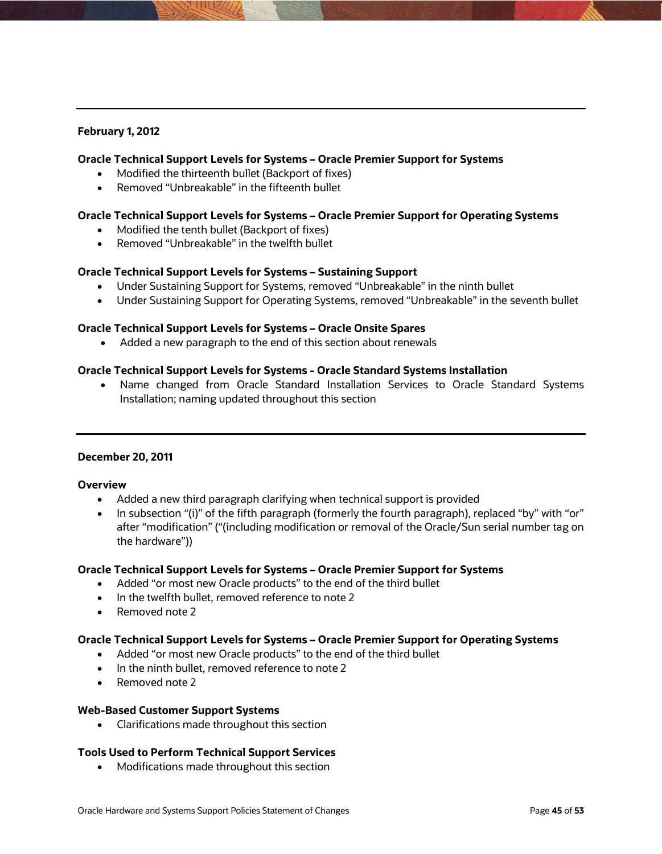# **February 1, 2012**

### **Oracle Technical Support Levels for Systems – Oracle Premier Support for Systems**

- Modified the thirteenth bullet (Backport of fixes)
- Removed "Unbreakable" in the fifteenth bullet

### **Oracle Technical Support Levels for Systems – Oracle Premier Support for Operating Systems**

- Modified the tenth bullet (Backport of fixes)
- Removed "Unbreakable" in the twelfth bullet

### **Oracle Technical Support Levels for Systems – Sustaining Support**

- Under Sustaining Support for Systems, removed "Unbreakable" in the ninth bullet
- Under Sustaining Support for Operating Systems, removed "Unbreakable" in the seventh bullet

### **Oracle Technical Support Levels for Systems – Oracle Onsite Spares**

Added a new paragraph to the end of this section about renewals

### **Oracle Technical Support Levels for Systems - Oracle Standard Systems Installation**

 Name changed from Oracle Standard Installation Services to Oracle Standard Systems Installation; naming updated throughout this section

### **December 20, 2011**

### **Overview**

- Added a new third paragraph clarifying when technical support is provided
- In subsection "(i)" of the fifth paragraph (formerly the fourth paragraph), replaced "by" with "or" after "modification" ("(including modification or removal of the Oracle/Sun serial number tag on the hardware"))

### **Oracle Technical Support Levels for Systems – Oracle Premier Support for Systems**

- Added "or most new Oracle products" to the end of the third bullet
- In the twelfth bullet, removed reference to note 2
- Removed note 2

### **Oracle Technical Support Levels for Systems – Oracle Premier Support for Operating Systems**

- Added "or most new Oracle products" to the end of the third bullet
- In the ninth bullet, removed reference to note 2
- Removed note 2

### **Web-Based Customer Support Systems**

• Clarifications made throughout this section

# **Tools Used to Perform Technical Support Services**

• Modifications made throughout this section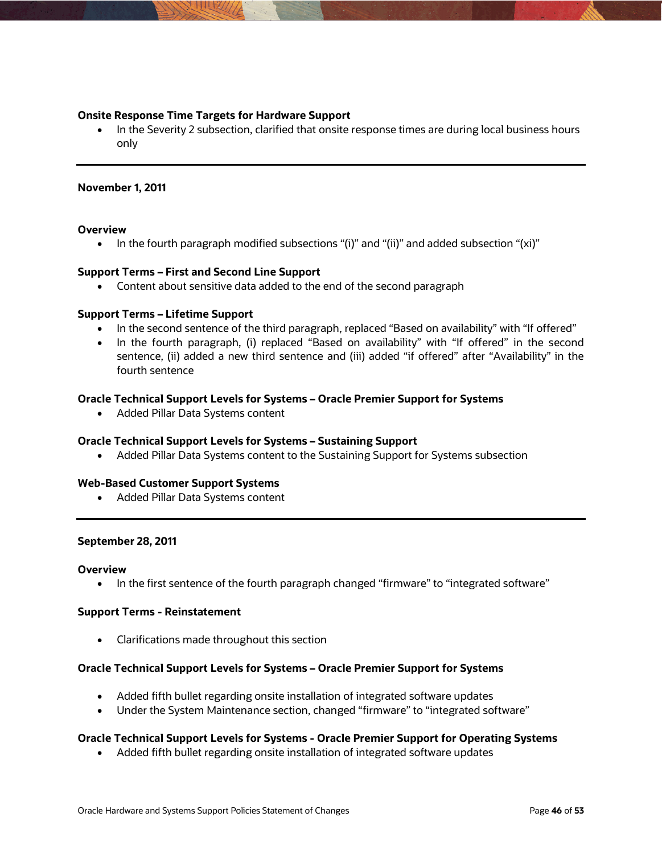### **Onsite Response Time Targets for Hardware Support**

• In the Severity 2 subsection, clarified that onsite response times are during local business hours only

### **November 1, 2011**

### **Overview**

• In the fourth paragraph modified subsections "(i)" and "(ii)" and added subsection "(xi)"

### **Support Terms – First and Second Line Support**

Content about sensitive data added to the end of the second paragraph

### **Support Terms – Lifetime Support**

- In the second sentence of the third paragraph, replaced "Based on availability" with "If offered"
- In the fourth paragraph, (i) replaced "Based on availability" with "If offered" in the second sentence, (ii) added a new third sentence and (iii) added "if offered" after "Availability" in the fourth sentence

### **Oracle Technical Support Levels for Systems – Oracle Premier Support for Systems**

Added Pillar Data Systems content

### **Oracle Technical Support Levels for Systems – Sustaining Support**

Added Pillar Data Systems content to the Sustaining Support for Systems subsection

### **Web-Based Customer Support Systems**

Added Pillar Data Systems content

### **September 28, 2011**

#### **Overview**

• In the first sentence of the fourth paragraph changed "firmware" to "integrated software"

### **Support Terms - Reinstatement**

Clarifications made throughout this section

### **Oracle Technical Support Levels for Systems – Oracle Premier Support for Systems**

- Added fifth bullet regarding onsite installation of integrated software updates
- Under the System Maintenance section, changed "firmware" to "integrated software"

# **Oracle Technical Support Levels for Systems - Oracle Premier Support for Operating Systems**

Added fifth bullet regarding onsite installation of integrated software updates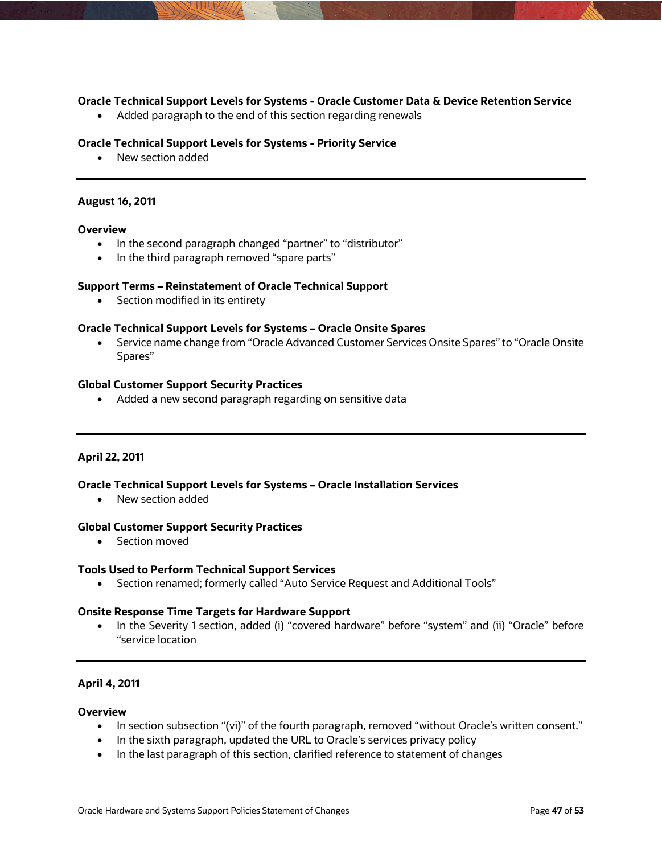### **Oracle Technical Support Levels for Systems - Oracle Customer Data & Device Retention Service**

• Added paragraph to the end of this section regarding renewals

#### **Oracle Technical Support Levels for Systems - Priority Service**

• New section added

#### **August 16, 2011**

#### **Overview**

- In the second paragraph changed "partner" to "distributor"
- In the third paragraph removed "spare parts"

### **Support Terms – Reinstatement of Oracle Technical Support**

• Section modified in its entirety

### **Oracle Technical Support Levels for Systems – Oracle Onsite Spares**

 Service name change from "Oracle Advanced Customer Services Onsite Spares" to "Oracle Onsite Spares"

#### **Global Customer Support Security Practices**

• Added a new second paragraph regarding on sensitive data

### **April 22, 2011**

### **Oracle Technical Support Levels for Systems – Oracle Installation Services**

New section added

#### **Global Customer Support Security Practices**

Section moved

#### **Tools Used to Perform Technical Support Services**

Section renamed; formerly called "Auto Service Request and Additional Tools"

### **Onsite Response Time Targets for Hardware Support**

• In the Severity 1 section, added (i) "covered hardware" before "system" and (ii) "Oracle" before "service location

### **April 4, 2011**

#### **Overview**

- In section subsection "(vi)" of the fourth paragraph, removed "without Oracle's written consent."
- In the sixth paragraph, updated the URL to Oracle's services privacy policy
- In the last paragraph of this section, clarified reference to statement of changes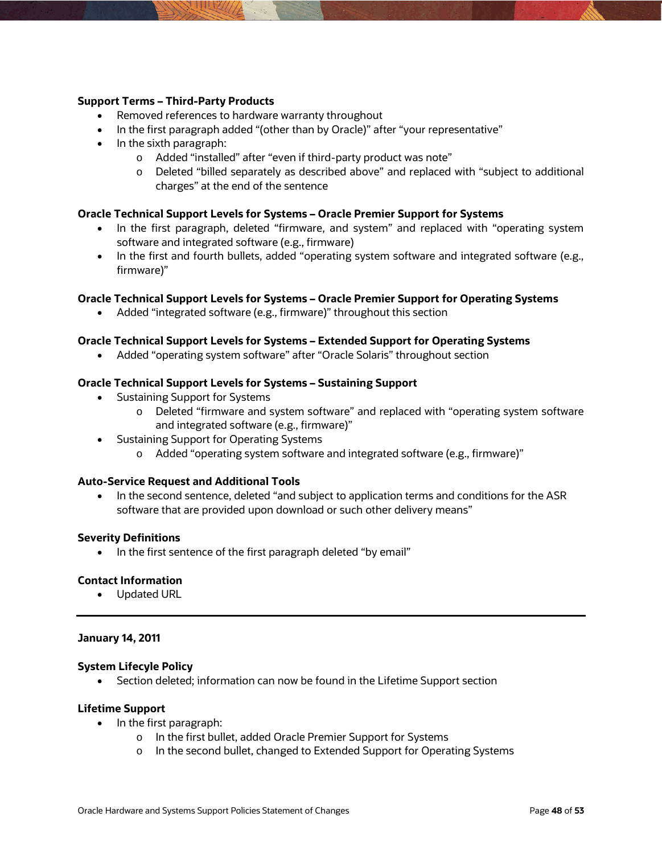### **Support Terms – Third-Party Products**

- Removed references to hardware warranty throughout
- In the first paragraph added "(other than by Oracle)" after "your representative"
- $\bullet$  In the sixth paragraph:
	- o Added "installed" after "even if third-party product was note"
	- o Deleted "billed separately as described above" and replaced with "subject to additional charges" at the end of the sentence

### **Oracle Technical Support Levels for Systems – Oracle Premier Support for Systems**

- In the first paragraph, deleted "firmware, and system" and replaced with "operating system software and integrated software (e.g., firmware)
- In the first and fourth bullets, added "operating system software and integrated software (e.g., firmware)"

### **Oracle Technical Support Levels for Systems – Oracle Premier Support for Operating Systems**

Added "integrated software (e.g., firmware)" throughout this section

#### **Oracle Technical Support Levels for Systems – Extended Support for Operating Systems**

Added "operating system software" after "Oracle Solaris" throughout section

#### **Oracle Technical Support Levels for Systems – Sustaining Support**

- Sustaining Support for Systems
	- o Deleted "firmware and system software" and replaced with "operating system software and integrated software (e.g., firmware)"
- Sustaining Support for Operating Systems
	- o Added "operating system software and integrated software (e.g., firmware)"

#### **Auto-Service Request and Additional Tools**

• In the second sentence, deleted "and subject to application terms and conditions for the ASR software that are provided upon download or such other delivery means"

#### **Severity Definitions**

In the first sentence of the first paragraph deleted "by email"

#### **Contact Information**

• Updated URL

### **January 14, 2011**

### **System Lifecyle Policy**

Section deleted; information can now be found in the Lifetime Support section

### **Lifetime Support**

- $\bullet$  In the first paragraph:
	- o In the first bullet, added Oracle Premier Support for Systems
	- o In the second bullet, changed to Extended Support for Operating Systems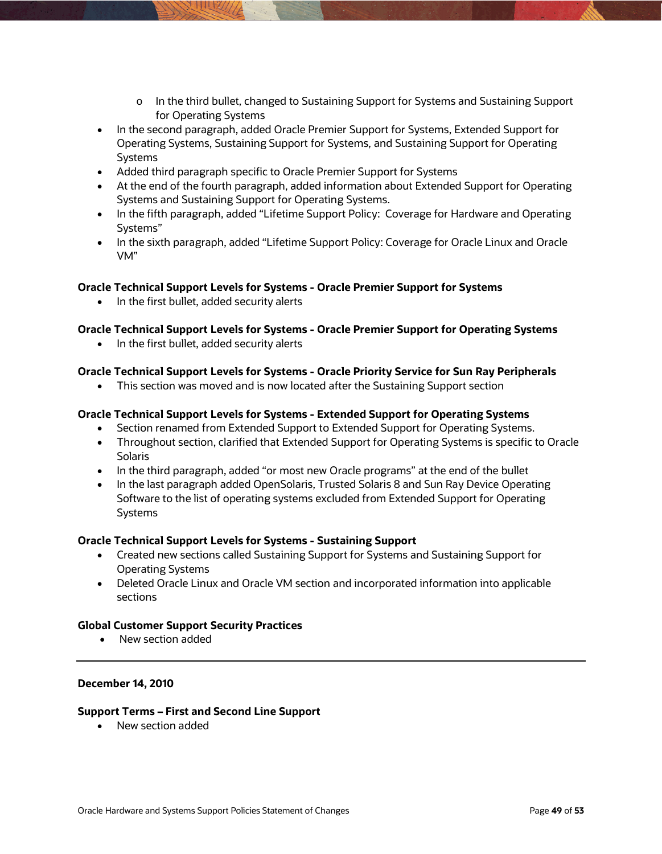- o In the third bullet, changed to Sustaining Support for Systems and Sustaining Support for Operating Systems
- In the second paragraph, added Oracle Premier Support for Systems, Extended Support for Operating Systems, Sustaining Support for Systems, and Sustaining Support for Operating Systems
- Added third paragraph specific to Oracle Premier Support for Systems
- At the end of the fourth paragraph, added information about Extended Support for Operating Systems and Sustaining Support for Operating Systems.
- In the fifth paragraph, added "Lifetime Support Policy: Coverage for Hardware and Operating Systems"
- In the sixth paragraph, added "Lifetime Support Policy: Coverage for Oracle Linux and Oracle VM"

# **Oracle Technical Support Levels for Systems - Oracle Premier Support for Systems**

• In the first bullet, added security alerts

# **Oracle Technical Support Levels for Systems - Oracle Premier Support for Operating Systems**

• In the first bullet, added security alerts

# **Oracle Technical Support Levels for Systems - Oracle Priority Service for Sun Ray Peripherals**

This section was moved and is now located after the Sustaining Support section

### **Oracle Technical Support Levels for Systems - Extended Support for Operating Systems**

- Section renamed from Extended Support to Extended Support for Operating Systems.
- Throughout section, clarified that Extended Support for Operating Systems is specific to Oracle **Solaris**
- In the third paragraph, added "or most new Oracle programs" at the end of the bullet
- In the last paragraph added OpenSolaris, Trusted Solaris 8 and Sun Ray Device Operating Software to the list of operating systems excluded from Extended Support for Operating Systems

### **Oracle Technical Support Levels for Systems - Sustaining Support**

- Created new sections called Sustaining Support for Systems and Sustaining Support for Operating Systems
- Deleted Oracle Linux and Oracle VM section and incorporated information into applicable sections

### **Global Customer Support Security Practices**

• New section added

### **December 14, 2010**

### **Support Terms – First and Second Line Support**

• New section added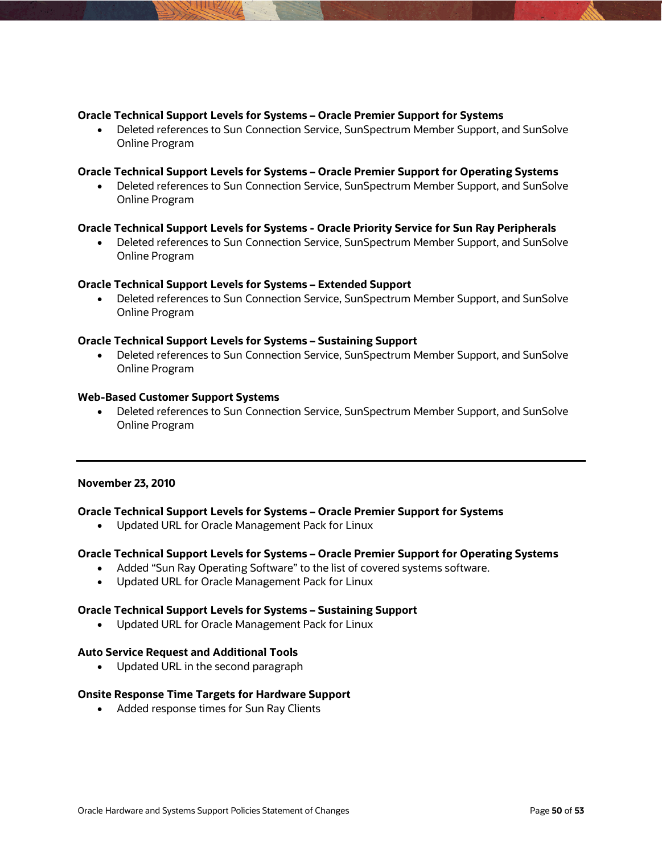### **Oracle Technical Support Levels for Systems – Oracle Premier Support for Systems**

 Deleted references to Sun Connection Service, SunSpectrum Member Support, and SunSolve Online Program

### **Oracle Technical Support Levels for Systems – Oracle Premier Support for Operating Systems**

 Deleted references to Sun Connection Service, SunSpectrum Member Support, and SunSolve Online Program

# **Oracle Technical Support Levels for Systems - Oracle Priority Service for Sun Ray Peripherals**

 Deleted references to Sun Connection Service, SunSpectrum Member Support, and SunSolve Online Program

### **Oracle Technical Support Levels for Systems – Extended Support**

 Deleted references to Sun Connection Service, SunSpectrum Member Support, and SunSolve Online Program

### **Oracle Technical Support Levels for Systems – Sustaining Support**

 Deleted references to Sun Connection Service, SunSpectrum Member Support, and SunSolve Online Program

### **Web-Based Customer Support Systems**

 Deleted references to Sun Connection Service, SunSpectrum Member Support, and SunSolve Online Program

### **November 23, 2010**

### **Oracle Technical Support Levels for Systems – Oracle Premier Support for Systems**

Updated URL for Oracle Management Pack for Linux

### **Oracle Technical Support Levels for Systems – Oracle Premier Support for Operating Systems**

- Added "Sun Ray Operating Software" to the list of covered systems software.
- Updated URL for Oracle Management Pack for Linux

### **Oracle Technical Support Levels for Systems – Sustaining Support**

Updated URL for Oracle Management Pack for Linux

### **Auto Service Request and Additional Tools**

• Updated URL in the second paragraph

### **Onsite Response Time Targets for Hardware Support**

Added response times for Sun Ray Clients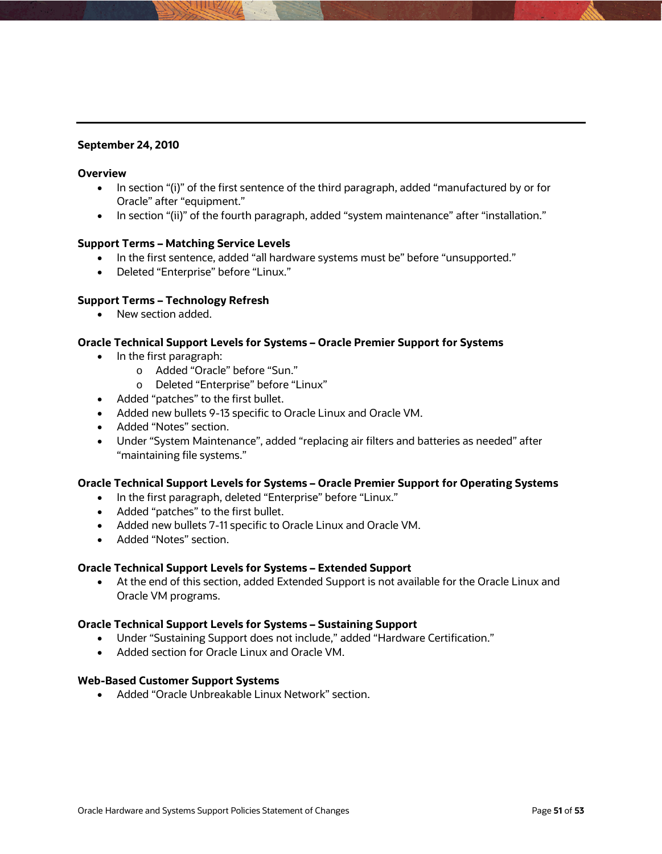### **September 24, 2010**

### **Overview**

- In section "(i)" of the first sentence of the third paragraph, added "manufactured by or for Oracle" after "equipment."
- In section "(ii)" of the fourth paragraph, added "system maintenance" after "installation."

### **Support Terms – Matching Service Levels**

- In the first sentence, added "all hardware systems must be" before "unsupported."
- Deleted "Enterprise" before "Linux."

### **Support Terms – Technology Refresh**

• New section added.

### **Oracle Technical Support Levels for Systems – Oracle Premier Support for Systems**

- In the first paragraph:
	- o Added "Oracle" before "Sun."
	- o Deleted "Enterprise" before "Linux"
- Added "patches" to the first bullet.
- Added new bullets 9-13 specific to Oracle Linux and Oracle VM.
- Added "Notes" section.
- Under "System Maintenance", added "replacing air filters and batteries as needed" after "maintaining file systems."

### **Oracle Technical Support Levels for Systems – Oracle Premier Support for Operating Systems**

- In the first paragraph, deleted "Enterprise" before "Linux."
- Added "patches" to the first bullet.
- Added new bullets 7-11 specific to Oracle Linux and Oracle VM.
- Added "Notes" section.

### **Oracle Technical Support Levels for Systems – Extended Support**

 At the end of this section, added Extended Support is not available for the Oracle Linux and Oracle VM programs.

### **Oracle Technical Support Levels for Systems – Sustaining Support**

- Under "Sustaining Support does not include," added "Hardware Certification."
- Added section for Oracle Linux and Oracle VM.

#### **Web-Based Customer Support Systems**

• Added "Oracle Unbreakable Linux Network" section.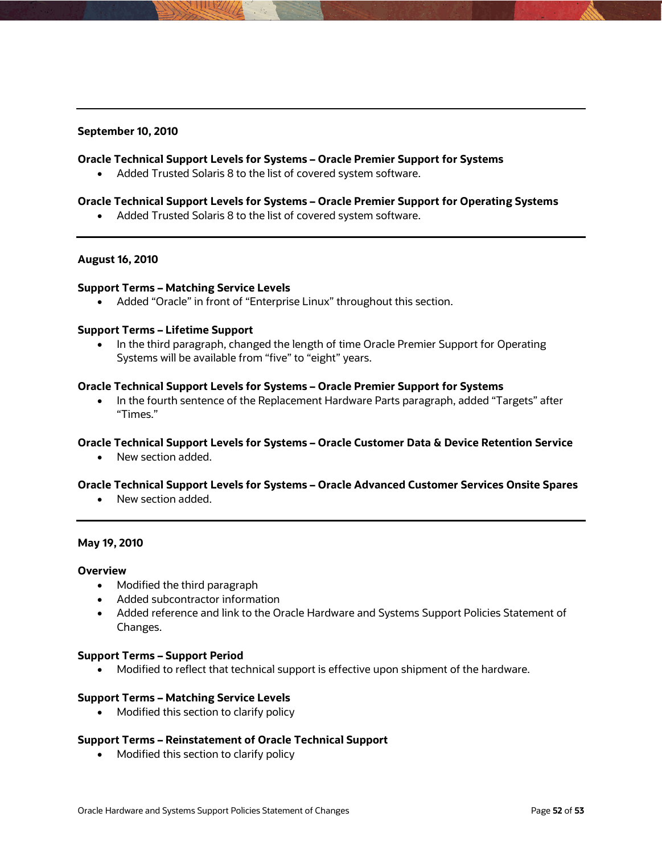### **September 10, 2010**

### **Oracle Technical Support Levels for Systems – Oracle Premier Support for Systems**

Added Trusted Solaris 8 to the list of covered system software.

### **Oracle Technical Support Levels for Systems – Oracle Premier Support for Operating Systems**

Added Trusted Solaris 8 to the list of covered system software.

### **August 16, 2010**

### **Support Terms – Matching Service Levels**

Added "Oracle" in front of "Enterprise Linux" throughout this section.

### **Support Terms – Lifetime Support**

• In the third paragraph, changed the length of time Oracle Premier Support for Operating Systems will be available from "five" to "eight" years.

#### **Oracle Technical Support Levels for Systems – Oracle Premier Support for Systems**

 In the fourth sentence of the Replacement Hardware Parts paragraph, added "Targets" after "Times."

### **Oracle Technical Support Levels for Systems – Oracle Customer Data & Device Retention Service**

• New section added.

### **Oracle Technical Support Levels for Systems – Oracle Advanced Customer Services Onsite Spares**

• New section added.

### **May 19, 2010**

#### **Overview**

- Modified the third paragraph
- Added subcontractor information
- Added reference and link to the Oracle Hardware and Systems Support Policies Statement of Changes.

#### **Support Terms – Support Period**

Modified to reflect that technical support is effective upon shipment of the hardware.

#### **Support Terms – Matching Service Levels**

Modified this section to clarify policy

### **Support Terms – Reinstatement of Oracle Technical Support**

• Modified this section to clarify policy